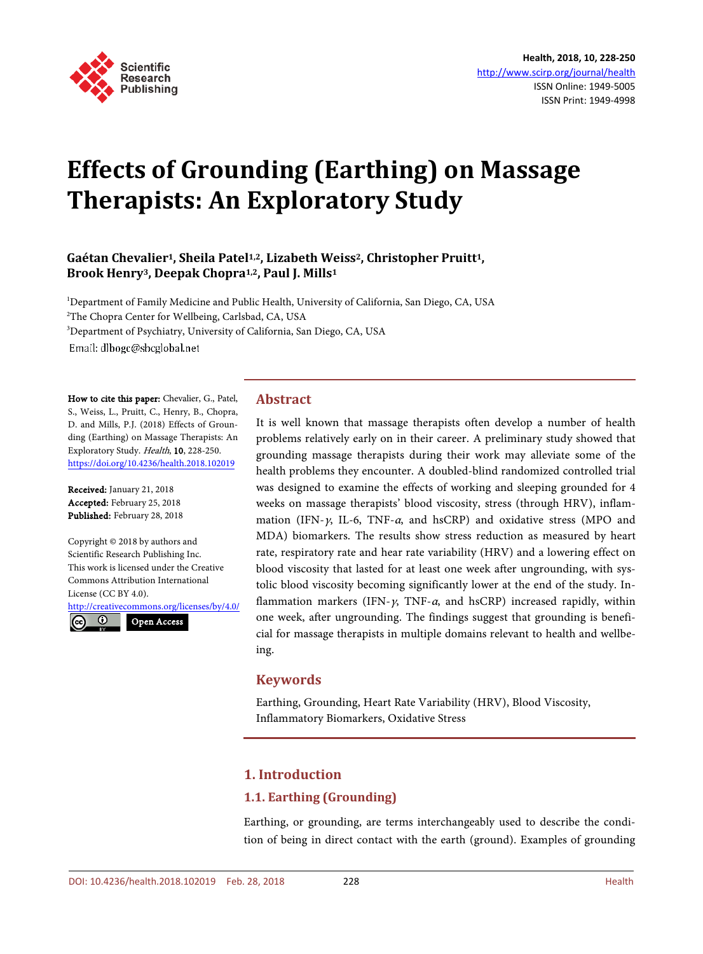

# **Effects of Grounding (Earthing) on Massage Therapists: An Exploratory Study**

# **Gaétan Chevalier1, Sheila Patel1,2, Lizabeth Weiss2, Christopher Pruitt1, Brook Henry3, Deepak Chopra1,2, Paul J. Mills<sup>1</sup>**

Department of Family Medicine and Public Health, University of California, San Diego, CA, USA The Chopra Center for Wellbeing, Carlsbad, CA, USA Department of Psychiatry, University of California, San Diego, CA, USA Email: dlbogc@shcglobal.net

How to cite this paper: Chevalier, G., Patel, S., Weiss, L., Pruitt, C., Henry, B., Chopra, D. and Mills, P.J. (2018) Effects of Grounding (Earthing) on Massage Therapists: An Exploratory Study. Health, 10, 228-250. <https://doi.org/10.4236/health.2018.102019>

Received: January 21, 2018 Accepted: February 25, 2018 Published: February 28, 2018

ļ

 $\odot$ 

Copyright © 2018 by authors and Scientific Research Publishing Inc. This work is licensed under the Creative Commons Attribution International License (CC BY 4.0).

<http://creativecommons.org/licenses/by/4.0/> Open Access

# **Abstract**

It is well known that massage therapists often develop a number of health problems relatively early on in their career. A preliminary study showed that grounding massage therapists during their work may alleviate some of the health problems they encounter. A doubled-blind randomized controlled trial was designed to examine the effects of working and sleeping grounded for 4 weeks on massage therapists' blood viscosity, stress (through HRV), inflammation (IFN- $\gamma$ , IL-6, TNF- $\alpha$ , and hsCRP) and oxidative stress (MPO and MDA) biomarkers. The results show stress reduction as measured by heart rate, respiratory rate and hear rate variability (HRV) and a lowering effect on blood viscosity that lasted for at least one week after ungrounding, with systolic blood viscosity becoming significantly lower at the end of the study. Inflammation markers (IFN- $\gamma$ , TNF- $\alpha$ , and hsCRP) increased rapidly, within one week, after ungrounding. The findings suggest that grounding is beneficial for massage therapists in multiple domains relevant to health and wellbeing.

# **Keywords**

Earthing, Grounding, Heart Rate Variability (HRV), Blood Viscosity, Inflammatory Biomarkers, Oxidative Stress

# **1. Introduction**

# **1.1. Earthing (Grounding)**

Earthing, or grounding, are terms interchangeably used to describe the condition of being in direct contact with the earth (ground). Examples of grounding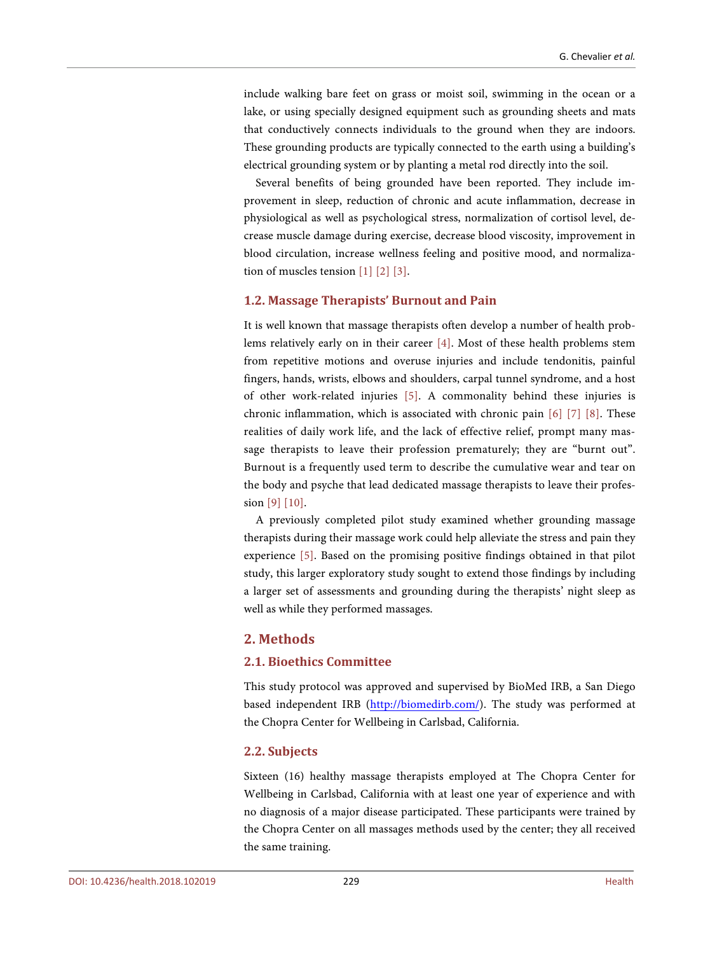include walking bare feet on grass or moist soil, swimming in the ocean or a lake, or using specially designed equipment such as grounding sheets and mats that conductively connects individuals to the ground when they are indoors. These grounding products are typically connected to the earth using a building's electrical grounding system or by planting a metal rod directly into the soil.

Several benefits of being grounded have been reported. They include improvement in sleep, reduction of chronic and acute inflammation, decrease in physiological as well as psychological stress, normalization of cortisol level, decrease muscle damage during exercise, decrease blood viscosity, improvement in blood circulation, increase wellness feeling and positive mood, and normalization of muscles tension [\[1\]](#page-20-0) [\[2\]](#page-20-1) [\[3\].](#page-20-2)

#### **1.2. Massage Therapists' Burnout and Pain**

It is well known that massage therapists often develop a number of health problems relatively early on in their career [\[4\].](#page-20-3) Most of these health problems stem from repetitive motions and overuse injuries and include tendonitis, painful fingers, hands, wrists, elbows and shoulders, carpal tunnel syndrome, and a host of other work-related injuries [\[5\].](#page-20-4) A commonality behind these injuries is chronic inflammation, which is associated with chronic pain [\[6\]](#page-20-5) [\[7\]](#page-21-0) [\[8\].](#page-21-1) These realities of daily work life, and the lack of effective relief, prompt many massage therapists to leave their profession prematurely; they are "burnt out". Burnout is a frequently used term to describe the cumulative wear and tear on the body and psyche that lead dedicated massage therapists to leave their profession [\[9\]](#page-21-2) [\[10\].](#page-21-3)

A previously completed pilot study examined whether grounding massage therapists during their massage work could help alleviate the stress and pain they experience [\[5\].](#page-20-4) Based on the promising positive findings obtained in that pilot study, this larger exploratory study sought to extend those findings by including a larger set of assessments and grounding during the therapists' night sleep as well as while they performed massages.

# **2. Methods**

#### **2.1. Bioethics Committee**

This study protocol was approved and supervised by BioMed IRB, a San Diego based independent IRB [\(http://biomedirb.com/\)](http://biomedirb.com/). The study was performed at the Chopra Center for Wellbeing in Carlsbad, California.

#### **2.2. Subjects**

Sixteen (16) healthy massage therapists employed at The Chopra Center for Wellbeing in Carlsbad, California with at least one year of experience and with no diagnosis of a major disease participated. These participants were trained by the Chopra Center on all massages methods used by the center; they all received the same training.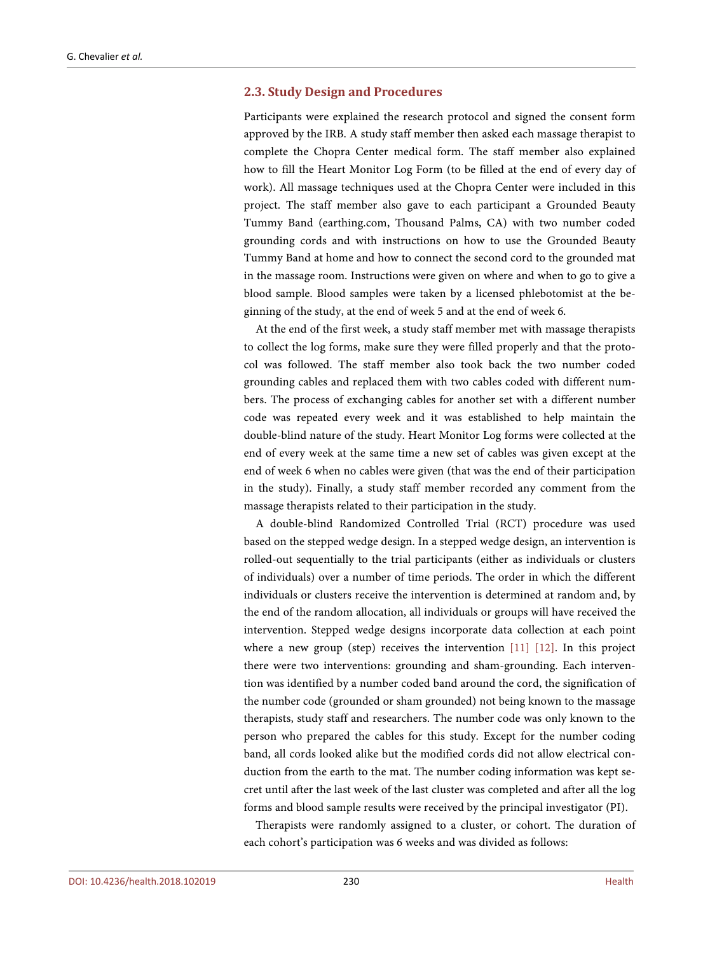#### **2.3. Study Design and Procedures**

Participants were explained the research protocol and signed the consent form approved by the IRB. A study staff member then asked each massage therapist to complete the Chopra Center medical form. The staff member also explained how to fill the Heart Monitor Log Form (to be filled at the end of every day of work). All massage techniques used at the Chopra Center were included in this project. The staff member also gave to each participant a Grounded Beauty Tummy Band (earthing.com, Thousand Palms, CA) with two number coded grounding cords and with instructions on how to use the Grounded Beauty Tummy Band at home and how to connect the second cord to the grounded mat in the massage room. Instructions were given on where and when to go to give a blood sample. Blood samples were taken by a licensed phlebotomist at the beginning of the study, at the end of week 5 and at the end of week 6.

At the end of the first week, a study staff member met with massage therapists to collect the log forms, make sure they were filled properly and that the protocol was followed. The staff member also took back the two number coded grounding cables and replaced them with two cables coded with different numbers. The process of exchanging cables for another set with a different number code was repeated every week and it was established to help maintain the double-blind nature of the study. Heart Monitor Log forms were collected at the end of every week at the same time a new set of cables was given except at the end of week 6 when no cables were given (that was the end of their participation in the study). Finally, a study staff member recorded any comment from the massage therapists related to their participation in the study.

A double-blind Randomized Controlled Trial (RCT) procedure was used based on the stepped wedge design. In a stepped wedge design, an intervention is rolled-out sequentially to the trial participants (either as individuals or clusters of individuals) over a number of time periods. The order in which the different individuals or clusters receive the intervention is determined at random and, by the end of the random allocation, all individuals or groups will have received the intervention. Stepped wedge designs incorporate data collection at each point where a new group (step) receives the intervention [\[11\]](#page-21-4) [\[12\].](#page-21-5) In this project there were two interventions: grounding and sham-grounding. Each intervention was identified by a number coded band around the cord, the signification of the number code (grounded or sham grounded) not being known to the massage therapists, study staff and researchers. The number code was only known to the person who prepared the cables for this study. Except for the number coding band, all cords looked alike but the modified cords did not allow electrical conduction from the earth to the mat. The number coding information was kept secret until after the last week of the last cluster was completed and after all the log forms and blood sample results were received by the principal investigator (PI).

Therapists were randomly assigned to a cluster, or cohort. The duration of each cohort's participation was 6 weeks and was divided as follows: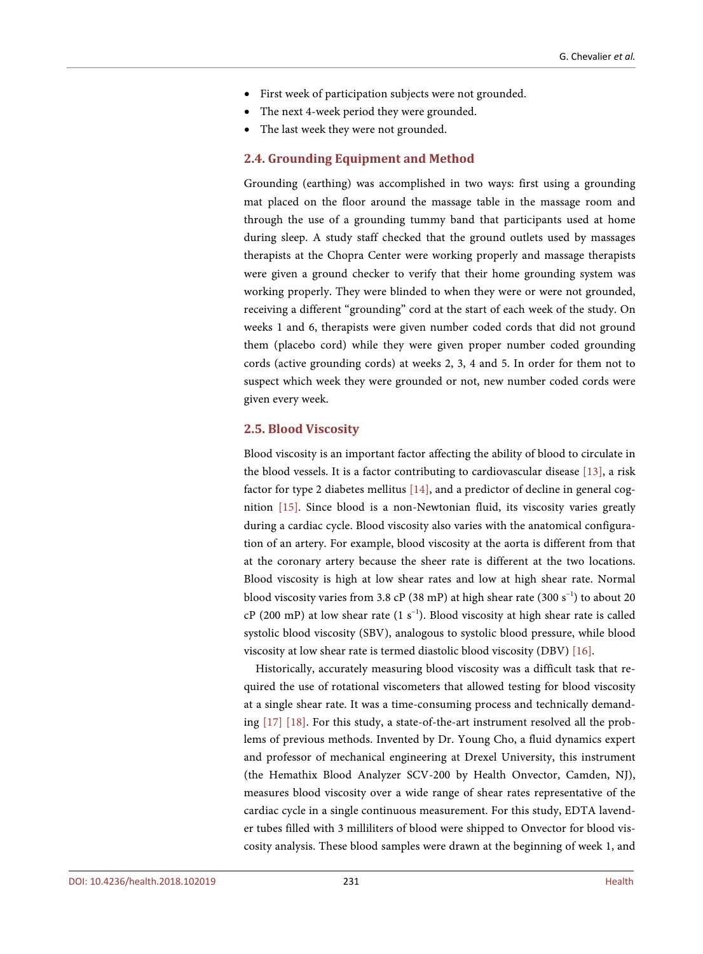- First week of participation subjects were not grounded.
- The next 4-week period they were grounded.
- The last week they were not grounded.

#### **2.4. Grounding Equipment and Method**

Grounding (earthing) was accomplished in two ways: first using a grounding mat placed on the floor around the massage table in the massage room and through the use of a grounding tummy band that participants used at home during sleep. A study staff checked that the ground outlets used by massages therapists at the Chopra Center were working properly and massage therapists were given a ground checker to verify that their home grounding system was working properly. They were blinded to when they were or were not grounded, receiving a different "grounding" cord at the start of each week of the study. On weeks 1 and 6, therapists were given number coded cords that did not ground them (placebo cord) while they were given proper number coded grounding cords (active grounding cords) at weeks 2, 3, 4 and 5. In order for them not to suspect which week they were grounded or not, new number coded cords were given every week.

## **2.5. Blood Viscosity**

Blood viscosity is an important factor affecting the ability of blood to circulate in the blood vessels. It is a factor contributing to cardiovascular disease [\[13\],](#page-21-6) a risk factor for type 2 diabetes mellitus [\[14\],](#page-21-7) and a predictor of decline in general cognition [\[15\].](#page-21-8) Since blood is a non-Newtonian fluid, its viscosity varies greatly during a cardiac cycle. Blood viscosity also varies with the anatomical configuration of an artery. For example, blood viscosity at the aorta is different from that at the coronary artery because the sheer rate is different at the two locations. Blood viscosity is high at low shear rates and low at high shear rate. Normal blood viscosity varies from 3.8 cP (38 mP) at high shear rate (300 s<sup>-1</sup>) to about 20 cP (200 mP) at low shear rate (1 s<sup>-1</sup>). Blood viscosity at high shear rate is called systolic blood viscosity (SBV), analogous to systolic blood pressure, while blood viscosity at low shear rate is termed diastolic blood viscosity (DBV) [\[16\].](#page-21-9) 

Historically, accurately measuring blood viscosity was a difficult task that required the use of rotational viscometers that allowed testing for blood viscosity at a single shear rate. It was a time-consuming process and technically demanding [\[17\]](#page-21-10) [\[18\].](#page-21-11) For this study, a state-of-the-art instrument resolved all the problems of previous methods. Invented by Dr. Young Cho, a fluid dynamics expert and professor of mechanical engineering at Drexel University, this instrument (the Hemathix Blood Analyzer SCV-200 by Health Onvector, Camden, NJ), measures blood viscosity over a wide range of shear rates representative of the cardiac cycle in a single continuous measurement. For this study, EDTA lavender tubes filled with 3 milliliters of blood were shipped to Onvector for blood viscosity analysis. These blood samples were drawn at the beginning of week 1, and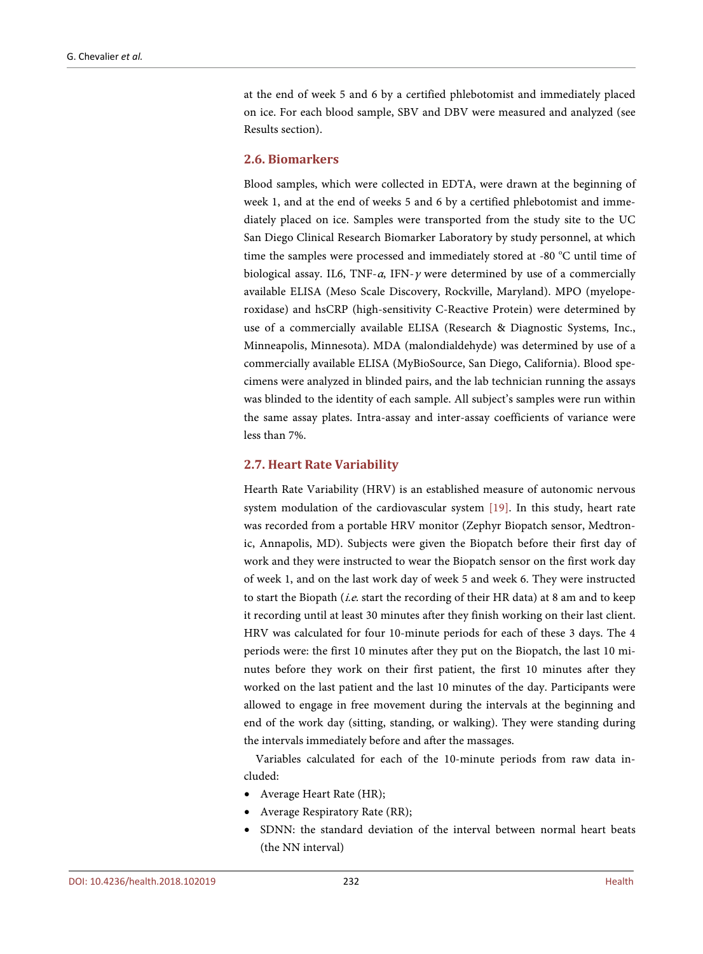at the end of week 5 and 6 by a certified phlebotomist and immediately placed on ice. For each blood sample, SBV and DBV were measured and analyzed (see Results section).

#### **2.6. Biomarkers**

Blood samples, which were collected in EDTA, were drawn at the beginning of week 1, and at the end of weeks 5 and 6 by a certified phlebotomist and immediately placed on ice. Samples were transported from the study site to the UC San Diego Clinical Research Biomarker Laboratory by study personnel, at which time the samples were processed and immediately stored at -80 °C until time of biological assay. IL6, TNF- $\alpha$ , IFN- $\gamma$  were determined by use of a commercially available ELISA (Meso Scale Discovery, Rockville, Maryland). MPO (myeloperoxidase) and hsCRP (high-sensitivity C-Reactive Protein) were determined by use of a commercially available ELISA (Research & Diagnostic Systems, Inc., Minneapolis, Minnesota). MDA (malondialdehyde) was determined by use of a commercially available ELISA (MyBioSource, San Diego, California). Blood specimens were analyzed in blinded pairs, and the lab technician running the assays was blinded to the identity of each sample. All subject's samples were run within the same assay plates. Intra-assay and inter-assay coefficients of variance were less than 7%.

#### **2.7. Heart Rate Variability**

Hearth Rate Variability (HRV) is an established measure of autonomic nervous system modulation of the cardiovascular system [\[19\].](#page-21-12) In this study, heart rate was recorded from a portable HRV monitor (Zephyr Biopatch sensor, Medtronic, Annapolis, MD). Subjects were given the Biopatch before their first day of work and they were instructed to wear the Biopatch sensor on the first work day of week 1, and on the last work day of week 5 and week 6. They were instructed to start the Biopath (*i.e.* start the recording of their HR data) at 8 am and to keep it recording until at least 30 minutes after they finish working on their last client. HRV was calculated for four 10-minute periods for each of these 3 days. The 4 periods were: the first 10 minutes after they put on the Biopatch, the last 10 minutes before they work on their first patient, the first 10 minutes after they worked on the last patient and the last 10 minutes of the day. Participants were allowed to engage in free movement during the intervals at the beginning and end of the work day (sitting, standing, or walking). They were standing during the intervals immediately before and after the massages.

Variables calculated for each of the 10-minute periods from raw data included:

- Average Heart Rate (HR);
- Average Respiratory Rate (RR);
- SDNN: the standard deviation of the interval between normal heart beats (the NN interval)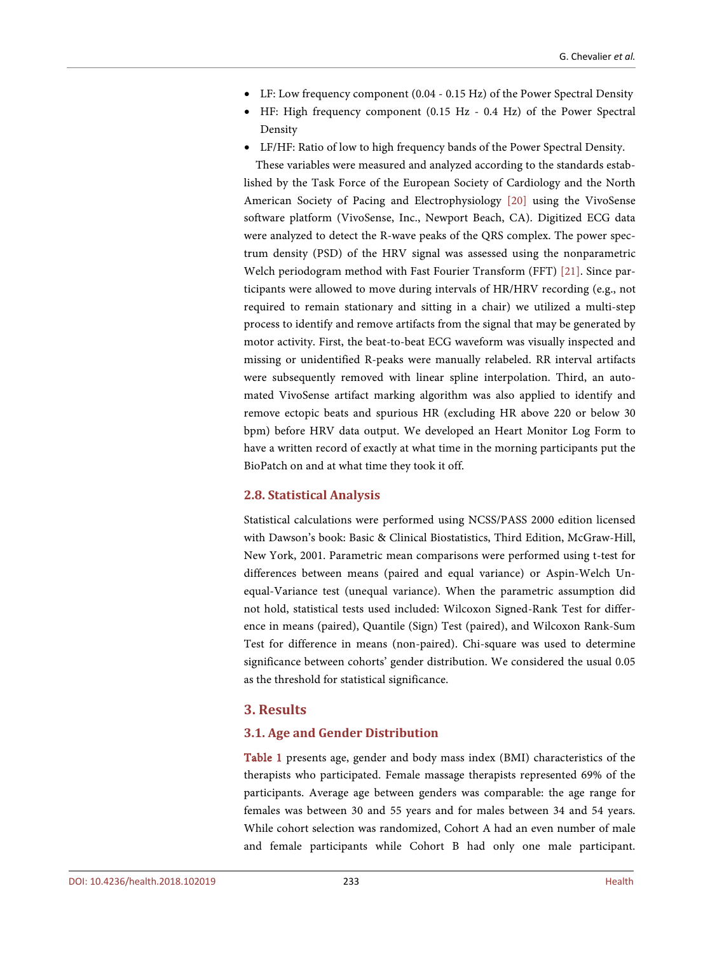- LF: Low frequency component (0.04 0.15 Hz) of the Power Spectral Density
- HF: High frequency component (0.15 Hz 0.4 Hz) of the Power Spectral Density
- LF/HF: Ratio of low to high frequency bands of the Power Spectral Density.

These variables were measured and analyzed according to the standards established by the Task Force of the European Society of Cardiology and the North American Society of Pacing and Electrophysiology [\[20\]](#page-21-13) using the VivoSense software platform (VivoSense, Inc., Newport Beach, CA). Digitized ECG data were analyzed to detect the R-wave peaks of the QRS complex. The power spectrum density (PSD) of the HRV signal was assessed using the nonparametric Welch periodogram method with Fast Fourier Transform (FFT) [\[21\].](#page-21-14) Since participants were allowed to move during intervals of HR/HRV recording (e.g., not required to remain stationary and sitting in a chair) we utilized a multi-step process to identify and remove artifacts from the signal that may be generated by motor activity. First, the beat-to-beat ECG waveform was visually inspected and missing or unidentified R-peaks were manually relabeled. RR interval artifacts were subsequently removed with linear spline interpolation. Third, an automated VivoSense artifact marking algorithm was also applied to identify and remove ectopic beats and spurious HR (excluding HR above 220 or below 30 bpm) before HRV data output. We developed an Heart Monitor Log Form to have a written record of exactly at what time in the morning participants put the BioPatch on and at what time they took it off.

#### **2.8. Statistical Analysis**

Statistical calculations were performed using NCSS/PASS 2000 edition licensed with Dawson's book: Basic & Clinical Biostatistics, Third Edition, McGraw-Hill, New York, 2001. Parametric mean comparisons were performed using t-test for differences between means (paired and equal variance) or Aspin-Welch Unequal-Variance test (unequal variance). When the parametric assumption did not hold, statistical tests used included: Wilcoxon Signed-Rank Test for difference in means (paired), Quantile (Sign) Test (paired), and Wilcoxon Rank-Sum Test for difference in means (non-paired). Chi-square was used to determine significance between cohorts' gender distribution. We considered the usual 0.05 as the threshold for statistical significance.

# **3. Results**

# **3.1. Age and Gender Distribution**

[Table 1](#page-6-0) presents age, gender and body mass index (BMI) characteristics of the therapists who participated. Female massage therapists represented 69% of the participants. Average age between genders was comparable: the age range for females was between 30 and 55 years and for males between 34 and 54 years. While cohort selection was randomized, Cohort A had an even number of male and female participants while Cohort B had only one male participant.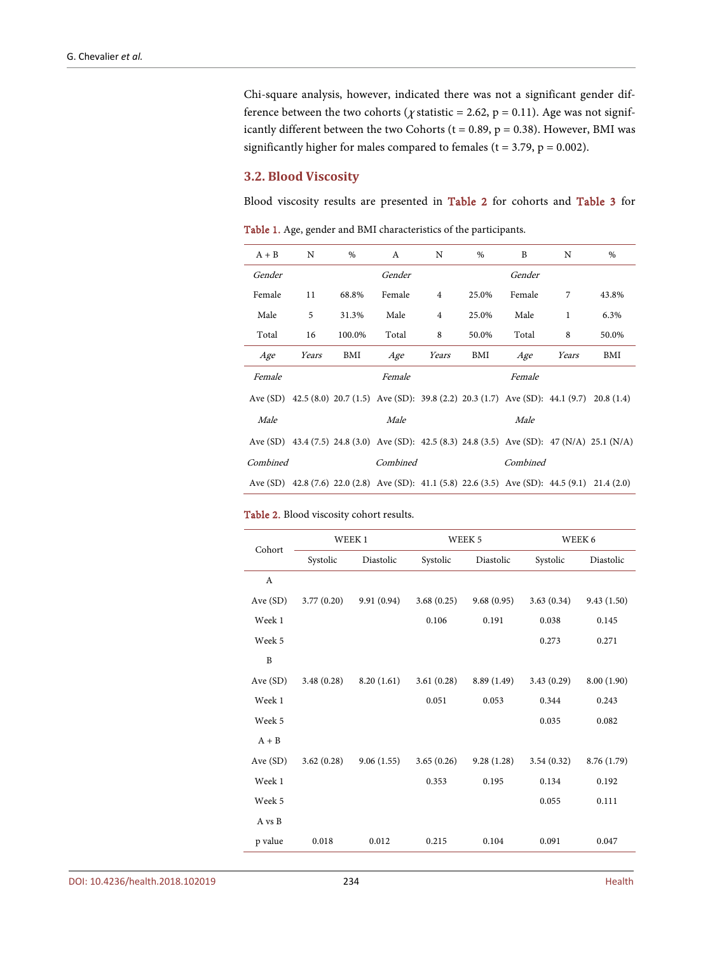Chi-square analysis, however, indicated there was not a significant gender difference between the two cohorts ( $\chi$  statistic = 2.62, p = 0.11). Age was not significantly different between the two Cohorts ( $t = 0.89$ ,  $p = 0.38$ ). However, BMI was significantly higher for males compared to females ( $t = 3.79$ ,  $p = 0.002$ ).

#### **3.2. Blood Viscosity**

Blood viscosity results are presented in [Table 2](#page-6-1) for cohorts and [Table 3](#page-7-0) for

| $A + B$  | N     | $\%$   | A                                                                                              | N              | %     | B        | N     | $\%$                                                                                         |
|----------|-------|--------|------------------------------------------------------------------------------------------------|----------------|-------|----------|-------|----------------------------------------------------------------------------------------------|
| Gender   |       |        | Gender                                                                                         |                |       | Gender   |       |                                                                                              |
| Female   | 11    | 68.8%  | Female                                                                                         | $\overline{4}$ | 25.0% | Female   | 7     | 43.8%                                                                                        |
| Male     | 5     | 31.3%  | Male                                                                                           | $\overline{4}$ | 25.0% | Male     | 1     | 6.3%                                                                                         |
| Total    | 16    | 100.0% | Total                                                                                          | 8              | 50.0% | Total    | 8     | 50.0%                                                                                        |
| Age      | Years | BMI    | Age                                                                                            | Years          | BMI   | Age      | Years | BMI                                                                                          |
| Female   |       |        | Female                                                                                         |                |       | Female   |       |                                                                                              |
|          |       |        | Ave (SD) 42.5 (8.0) 20.7 (1.5) Ave (SD): 39.8 (2.2) 20.3 (1.7) Ave (SD): 44.1 (9.7) 20.8 (1.4) |                |       |          |       |                                                                                              |
| Male     |       |        | Male                                                                                           |                |       | Male     |       |                                                                                              |
|          |       |        |                                                                                                |                |       |          |       | Ave (SD) 43.4 (7.5) 24.8 (3.0) Ave (SD): 42.5 (8.3) 24.8 (3.5) Ave (SD): 47 (N/A) 25.1 (N/A) |
| Combined |       |        | Combined                                                                                       |                |       | Combined |       |                                                                                              |
|          |       |        | Ave (SD) 42.8 (7.6) 22.0 (2.8) Ave (SD): 41.1 (5.8) 22.6 (3.5) Ave (SD): 44.5 (9.1) 21.4 (2.0) |                |       |          |       |                                                                                              |

<span id="page-6-0"></span>Table 1. Age, gender and BMI characteristics of the participants.

#### <span id="page-6-1"></span>Table 2. Blood viscosity cohort results.

| Cohort   |            | WEEK 1     |            | WEEK 5     |            | WEEK 6      |
|----------|------------|------------|------------|------------|------------|-------------|
|          | Systolic   | Diastolic  | Systolic   | Diastolic  | Systolic   | Diastolic   |
| A        |            |            |            |            |            |             |
| Ave (SD) | 3.77(0.20) | 9.91(0.94) | 3.68(0.25) | 9.68(0.95) | 3.63(0.34) | 9.43(1.50)  |
| Week 1   |            |            | 0.106      | 0.191      | 0.038      | 0.145       |
| Week 5   |            |            |            |            | 0.273      | 0.271       |
| B        |            |            |            |            |            |             |
| Ave(SD)  | 3.48(0.28) | 8.20(1.61) | 3.61(0.28) | 8.89(1.49) | 3.43(0.29) | 8.00 (1.90) |
| Week 1   |            |            | 0.051      | 0.053      | 0.344      | 0.243       |
| Week 5   |            |            |            |            | 0.035      | 0.082       |
| $A + B$  |            |            |            |            |            |             |
| Ave(SD)  | 3.62(0.28) | 9.06(1.55) | 3.65(0.26) | 9.28(1.28) | 3.54(0.32) | 8.76 (1.79) |
| Week 1   |            |            | 0.353      | 0.195      | 0.134      | 0.192       |
| Week 5   |            |            |            |            | 0.055      | 0.111       |
| A vs B   |            |            |            |            |            |             |
| p value  | 0.018      | 0.012      | 0.215      | 0.104      | 0.091      | 0.047       |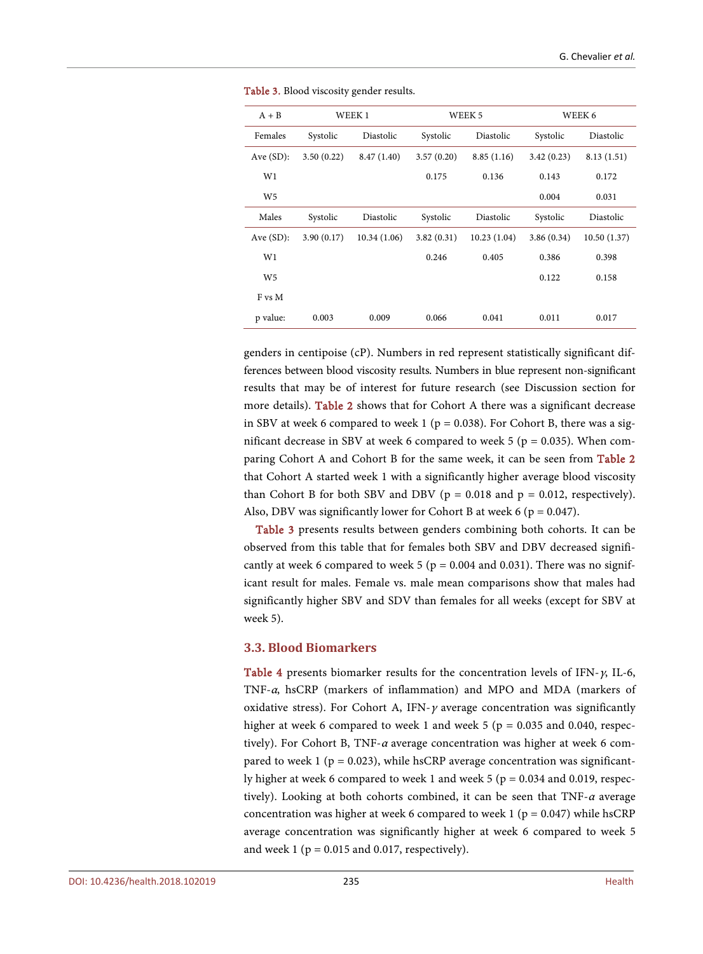| $A + B$        |            | WEEK <sub>1</sub> |            | WEEK 5      |            | WEEK 6      |
|----------------|------------|-------------------|------------|-------------|------------|-------------|
| Females        | Systolic   | Diastolic         | Systolic   | Diastolic   | Systolic   | Diastolic   |
| Ave $(SD)$ :   | 3.50(0.22) | 8.47(1.40)        | 3.57(0.20) | 8.85(1.16)  | 3.42(0.23) | 8.13(1.51)  |
| W1             |            |                   | 0.175      | 0.136       | 0.143      | 0.172       |
| W <sub>5</sub> |            |                   |            |             | 0.004      | 0.031       |
| Males          | Systolic   | Diastolic         | Systolic   | Diastolic   | Systolic   | Diastolic   |
| Ave $(SD)$ :   | 3.90(0.17) | 10.34(1.06)       | 3.82(0.31) | 10.23(1.04) | 3.86(0.34) | 10.50(1.37) |
| W1             |            |                   | 0.246      | 0.405       | 0.386      | 0.398       |
| W <sub>5</sub> |            |                   |            |             | 0.122      | 0.158       |
| F vs M         |            |                   |            |             |            |             |
| p value:       | 0.003      | 0.009             | 0.066      | 0.041       | 0.011      | 0.017       |

<span id="page-7-0"></span>Table 3. Blood viscosity gender results.

genders in centipoise (cP). Numbers in red represent statistically significant differences between blood viscosity results. Numbers in blue represent non-significant results that may be of interest for future research (see Discussion section for more details). [Table 2](#page-6-1) shows that for Cohort A there was a significant decrease in SBV at week 6 compared to week 1 ( $p = 0.038$ ). For Cohort B, there was a significant decrease in SBV at week 6 compared to week 5 ( $p = 0.035$ ). When comparing Cohort A and Cohort B for the same week, it can be seen from [Table 2](#page-6-1) that Cohort A started week 1 with a significantly higher average blood viscosity than Cohort B for both SBV and DBV ( $p = 0.018$  and  $p = 0.012$ , respectively). Also, DBV was significantly lower for Cohort B at week 6 ( $p = 0.047$ ).

[Table 3](#page-7-0) presents results between genders combining both cohorts. It can be observed from this table that for females both SBV and DBV decreased significantly at week 6 compared to week 5 ( $p = 0.004$  and 0.031). There was no significant result for males. Female vs. male mean comparisons show that males had significantly higher SBV and SDV than females for all weeks (except for SBV at week 5).

## **3.3. Blood Biomarkers**

[Table 4](#page-8-0) presents biomarker results for the concentration levels of IFN- $\gamma$ , IL-6, TNF-α, hsCRP (markers of inflammation) and MPO and MDA (markers of oxidative stress). For Cohort A, IFN- $\gamma$  average concentration was significantly higher at week 6 compared to week 1 and week 5 ( $p = 0.035$  and 0.040, respectively). For Cohort B, TNF- $\alpha$  average concentration was higher at week 6 compared to week 1 ( $p = 0.023$ ), while hsCRP average concentration was significantly higher at week 6 compared to week 1 and week 5 ( $p = 0.034$  and 0.019, respectively). Looking at both cohorts combined, it can be seen that TNF- $\alpha$  average concentration was higher at week 6 compared to week 1 ( $p = 0.047$ ) while hsCRP average concentration was significantly higher at week 6 compared to week 5 and week 1 ( $p = 0.015$  and 0.017, respectively).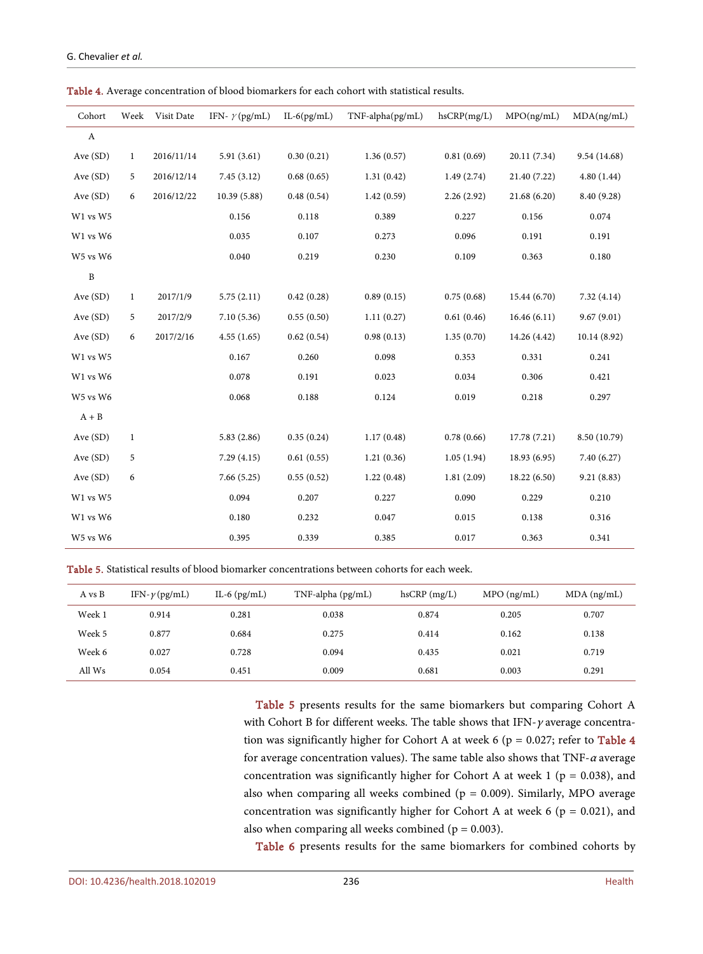| Cohort                    | Week         | Visit Date | IFN- $\gamma$ (pg/mL) | $IL-6(pg/mL)$ | TNF-alpha(pg/mL) | hsCRP(mg/L) | MPO(ng/mL)   | MDA(ng/mL)   |
|---------------------------|--------------|------------|-----------------------|---------------|------------------|-------------|--------------|--------------|
| $\boldsymbol{\mathrm{A}}$ |              |            |                       |               |                  |             |              |              |
| Ave (SD)                  | $\mathbf{1}$ | 2016/11/14 | 5.91(3.61)            | 0.30(0.21)    | 1.36(0.57)       | 0.81(0.69)  | 20.11 (7.34) | 9.54 (14.68) |
| Ave $(SD)$                | 5            | 2016/12/14 | 7.45(3.12)            | 0.68(0.65)    | 1.31(0.42)       | 1.49(2.74)  | 21.40 (7.22) | 4.80(1.44)   |
| Ave (SD)                  | 6            | 2016/12/22 | 10.39 (5.88)          | 0.48(0.54)    | 1.42(0.59)       | 2.26(2.92)  | 21.68 (6.20) | 8.40 (9.28)  |
| W1 vs W5                  |              |            | 0.156                 | 0.118         | 0.389            | 0.227       | 0.156        | 0.074        |
| W1 vs W6                  |              |            | 0.035                 | 0.107         | 0.273            | 0.096       | 0.191        | 0.191        |
| W5 vs W6                  |              |            | 0.040                 | 0.219         | 0.230            | 0.109       | 0.363        | 0.180        |
| $\, {\bf B}$              |              |            |                       |               |                  |             |              |              |
| Ave (SD)                  | $\mathbf{1}$ | 2017/1/9   | 5.75(2.11)            | 0.42(0.28)    | 0.89(0.15)       | 0.75(0.68)  | 15.44 (6.70) | 7.32(4.14)   |
| Ave (SD)                  | 5            | 2017/2/9   | 7.10(5.36)            | 0.55(0.50)    | 1.11(0.27)       | 0.61(0.46)  | 16.46(6.11)  | 9.67(9.01)   |
| Ave (SD)                  | 6            | 2017/2/16  | 4.55(1.65)            | 0.62(0.54)    | 0.98(0.13)       | 1.35(0.70)  | 14.26 (4.42) | 10.14 (8.92) |
| W1 vs W5                  |              |            | 0.167                 | 0.260         | 0.098            | 0.353       | 0.331        | 0.241        |
| W1 vs W6                  |              |            | 0.078                 | 0.191         | 0.023            | 0.034       | 0.306        | 0.421        |
| W5 vs W6                  |              |            | 0.068                 | 0.188         | 0.124            | 0.019       | 0.218        | 0.297        |
| $A + B$                   |              |            |                       |               |                  |             |              |              |
| Ave $(SD)$                | $\mathbf{1}$ |            | 5.83(2.86)            | 0.35(0.24)    | 1.17(0.48)       | 0.78(0.66)  | 17.78 (7.21) | 8.50 (10.79) |
| Ave (SD)                  | 5            |            | 7.29(4.15)            | 0.61(0.55)    | 1.21(0.36)       | 1.05(1.94)  | 18.93 (6.95) | 7.40(6.27)   |
| Ave $(SD)$                | 6            |            | 7.66(5.25)            | 0.55(0.52)    | 1.22(0.48)       | 1.81(2.09)  | 18.22 (6.50) | 9.21(8.83)   |
| W1 vs W5                  |              |            | 0.094                 | 0.207         | 0.227            | 0.090       | 0.229        | 0.210        |
| W1 vs W6                  |              |            | 0.180                 | 0.232         | 0.047            | 0.015       | 0.138        | 0.316        |
| W5 vs W6                  |              |            | 0.395                 | 0.339         | 0.385            | 0.017       | 0.363        | 0.341        |

<span id="page-8-0"></span>Table 4. Average concentration of blood biomarkers for each cohort with statistical results.

<span id="page-8-1"></span>Table 5. Statistical results of blood biomarker concentrations between cohorts for each week.

| A vs B | IFN- $\nu$ (pg/mL) | IL-6 $(pg/mL)$ | $TNF$ -alpha ( $pg/mL$ ) | $h$ s $CRP$ (mg/L) | $MPO$ (ng/mL) | $MDA$ (ng/mL) |
|--------|--------------------|----------------|--------------------------|--------------------|---------------|---------------|
| Week 1 | 0.914              | 0.281          | 0.038                    | 0.874              | 0.205         | 0.707         |
| Week 5 | 0.877              | 0.684          | 0.275                    | 0.414              | 0.162         | 0.138         |
| Week 6 | 0.027              | 0.728          | 0.094                    | 0.435              | 0.021         | 0.719         |
| All Ws | 0.054              | 0.451          | 0.009                    | 0.681              | 0.003         | 0.291         |

[Table 5](#page-8-1) presents results for the same biomarkers but comparing Cohort A with Cohort B for different weeks. The table shows that IFN- $\gamma$  average concentration was significantly higher for Cohort A at week 6 ( $p = 0.027$ ; refer to [Table 4](#page-8-0) for average concentration values). The same table also shows that TNF- $a$  average concentration was significantly higher for Cohort A at week 1 ( $p = 0.038$ ), and also when comparing all weeks combined ( $p = 0.009$ ). Similarly, MPO average concentration was significantly higher for Cohort A at week 6 ( $p = 0.021$ ), and also when comparing all weeks combined ( $p = 0.003$ ).

[Table 6](#page-9-0) presents results for the same biomarkers for combined cohorts by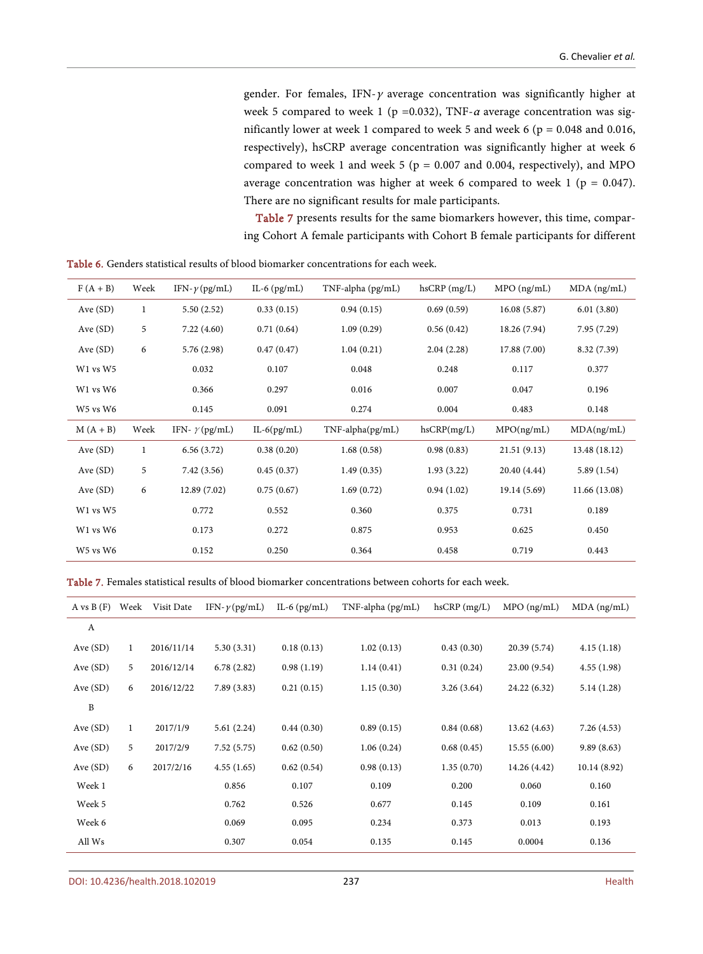gender. For females, IFN- $\gamma$  average concentration was significantly higher at week 5 compared to week 1 (p =0.032), TNF- $\alpha$  average concentration was significantly lower at week 1 compared to week 5 and week 6 ( $p = 0.048$  and 0.016, respectively), hsCRP average concentration was significantly higher at week 6 compared to week 1 and week 5 ( $p = 0.007$  and 0.004, respectively), and MPO average concentration was higher at week 6 compared to week 1 ( $p = 0.047$ ). There are no significant results for male participants.

[Table 7](#page-9-1) presents results for the same biomarkers however, this time, comparing Cohort A female participants with Cohort B female participants for different

<span id="page-9-0"></span>

| <b>Table 6.</b> Genders statistical results of blood biomarker concentrations for each week. |  |
|----------------------------------------------------------------------------------------------|--|
|----------------------------------------------------------------------------------------------|--|

| $F(A + B)$ | Week         | IFN- $\gamma$ (pg/mL) | IL-6 $(pg/mL)$ | TNF-alpha (pg/mL)      | $h$ s $CRP$ (mg/L) | $MPO$ (ng/mL) | $MDA$ (ng/mL) |
|------------|--------------|-----------------------|----------------|------------------------|--------------------|---------------|---------------|
| Ave $(SD)$ | $\mathbf{1}$ | 5.50(2.52)            | 0.33(0.15)     | 0.94(0.15)             | 0.69(0.59)         | 16.08(5.87)   | 6.01(3.80)    |
| Ave $(SD)$ | 5            | 7.22(4.60)            | 0.71(0.64)     | 1.09(0.29)             | 0.56(0.42)         | 18.26 (7.94)  | 7.95(7.29)    |
| Ave $(SD)$ | 6            | 5.76 (2.98)           | 0.47(0.47)     | 1.04(0.21)             | 2.04(2.28)         | 17.88 (7.00)  | 8.32 (7.39)   |
| W1 vs W5   |              | 0.032                 | 0.107          | 0.048                  | 0.248              | 0.117         | 0.377         |
| W1 vs W6   |              | 0.366                 | 0.297          | 0.016                  | 0.007              | 0.047         | 0.196         |
| W5 vs W6   |              | 0.145                 | 0.091          | 0.274                  | 0.004              | 0.483         | 0.148         |
|            |              |                       |                |                        |                    |               |               |
| $M(A + B)$ | Week         | IFN- $\gamma$ (pg/mL) | $IL-6(pg/mL)$  | $TNF$ -alpha $(pg/mL)$ | hsCRP(mg/L)        | MPO(ng/mL)    | MDA(ng/mL)    |
| Ave $(SD)$ | 1            | 6.56(3.72)            | 0.38(0.20)     | 1.68(0.58)             | 0.98(0.83)         | 21.51(9.13)   | 13.48 (18.12) |
| Ave $(SD)$ | 5            | 7.42(3.56)            | 0.45(0.37)     | 1.49(0.35)             | 1.93(3.22)         | 20.40 (4.44)  | 5.89(1.54)    |
| Ave $(SD)$ | 6            | 12.89(7.02)           | 0.75(0.67)     | 1.69(0.72)             | 0.94(1.02)         | 19.14 (5.69)  | 11.66 (13.08) |
| W1 vs W5   |              | 0.772                 | 0.552          | 0.360                  | 0.375              | 0.731         | 0.189         |
| W1 vs W6   |              | 0.173                 | 0.272          | 0.875                  | 0.953              | 0.625         | 0.450         |
| W5 vs W6   |              | 0.152                 | 0.250          | 0.364                  | 0.458              | 0.719         | 0.443         |

<span id="page-9-1"></span>Table 7. Females statistical results of blood biomarker concentrations between cohorts for each week.

| A vs $B(F)$      | Week         | Visit Date | IFN- $\nu$ (pg/mL) | IL-6 $(pg/mL)$ | TNF-alpha (pg/mL) | $h$ s $CRP$ (mg/L) | $MPO$ (ng/mL) | $MDA$ (ng/mL) |
|------------------|--------------|------------|--------------------|----------------|-------------------|--------------------|---------------|---------------|
| $\boldsymbol{A}$ |              |            |                    |                |                   |                    |               |               |
| Ave $(SD)$       | $\mathbf{1}$ | 2016/11/14 | 5.30(3.31)         | 0.18(0.13)     | 1.02(0.13)        | 0.43(0.30)         | 20.39 (5.74)  | 4.15(1.18)    |
| Ave $(SD)$       | 5            | 2016/12/14 | 6.78(2.82)         | 0.98(1.19)     | 1.14(0.41)        | 0.31(0.24)         | 23.00 (9.54)  | 4.55(1.98)    |
| Ave (SD)         | 6            | 2016/12/22 | 7.89(3.83)         | 0.21(0.15)     | 1.15(0.30)        | 3.26(3.64)         | 24.22 (6.32)  | 5.14(1.28)    |
| $\mathbf{B}$     |              |            |                    |                |                   |                    |               |               |
| Ave $(SD)$       | $\mathbf{1}$ | 2017/1/9   | 5.61(2.24)         | 0.44(0.30)     | 0.89(0.15)        | 0.84(0.68)         | 13.62 (4.63)  | 7.26(4.53)    |
| Ave $(SD)$       | 5            | 2017/2/9   | 7.52(5.75)         | 0.62(0.50)     | 1.06(0.24)        | 0.68(0.45)         | 15.55(6.00)   | 9.89(8.63)    |
| Ave $(SD)$       | 6            | 2017/2/16  | 4.55(1.65)         | 0.62(0.54)     | 0.98(0.13)        | 1.35(0.70)         | 14.26 (4.42)  | 10.14(8.92)   |
| Week 1           |              |            | 0.856              | 0.107          | 0.109             | 0.200              | 0.060         | 0.160         |
| Week 5           |              |            | 0.762              | 0.526          | 0.677             | 0.145              | 0.109         | 0.161         |
| Week 6           |              |            | 0.069              | 0.095          | 0.234             | 0.373              | 0.013         | 0.193         |
| All Ws           |              |            | 0.307              | 0.054          | 0.135             | 0.145              | 0.0004        | 0.136         |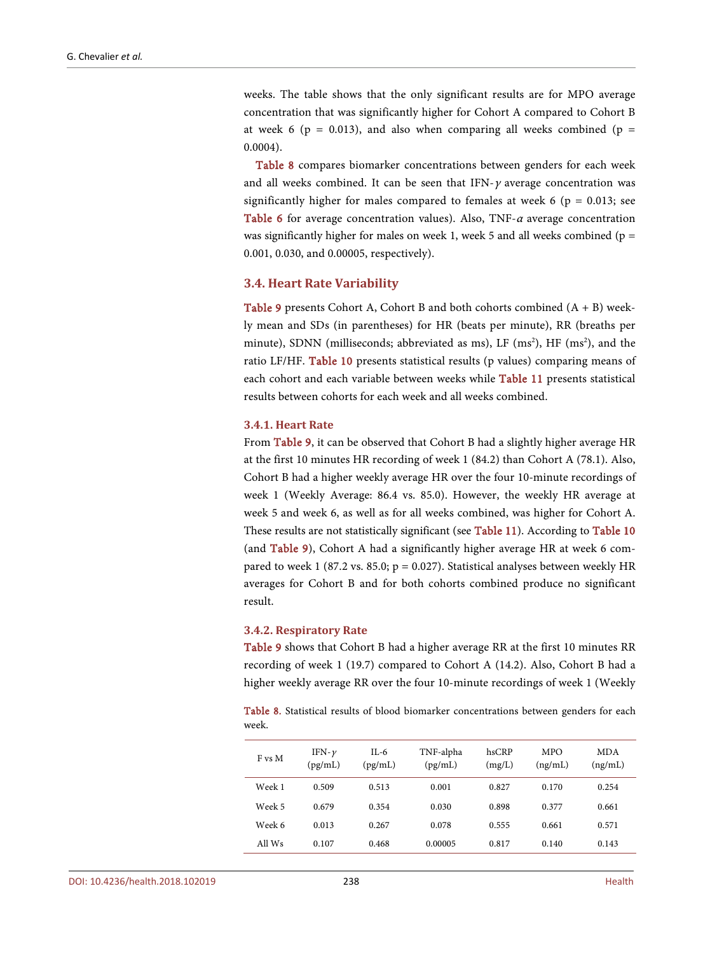weeks. The table shows that the only significant results are for MPO average concentration that was significantly higher for Cohort A compared to Cohort B at week 6 ( $p = 0.013$ ), and also when comparing all weeks combined ( $p =$ 0.0004).

[Table 8](#page-10-0) compares biomarker concentrations between genders for each week and all weeks combined. It can be seen that IFN- $\gamma$  average concentration was significantly higher for males compared to females at week 6 ( $p = 0.013$ ; see [Table 6](#page-9-0) for average concentration values). Also, TNF- $\alpha$  average concentration was significantly higher for males on week 1, week 5 and all weeks combined ( $p =$ 0.001, 0.030, and 0.00005, respectively).

#### **3.4. Heart Rate Variability**

**[Table 9](#page-11-0)** presents Cohort A, Cohort B and both cohorts combined  $(A + B)$  weekly mean and SDs (in parentheses) for HR (beats per minute), RR (breaths per minute), SDNN (milliseconds; abbreviated as ms), LF (ms<sup>2</sup>), HF (ms<sup>2</sup>), and the ratio LF/HF. [Table 10](#page-12-0) presents statistical results (p values) comparing means of each cohort and each variable between weeks while [Table 11](#page-12-1) presents statistical results between cohorts for each week and all weeks combined.

#### **3.4.1. Heart Rate**

From [Table 9,](#page-11-0) it can be observed that Cohort B had a slightly higher average HR at the first 10 minutes HR recording of week 1 (84.2) than Cohort A (78.1). Also, Cohort B had a higher weekly average HR over the four 10-minute recordings of week 1 (Weekly Average: 86.4 vs. 85.0). However, the weekly HR average at week 5 and week 6, as well as for all weeks combined, was higher for Cohort A. These results are not statistically significant (see [Table 11\)](#page-12-1). According to [Table 10](#page-12-0) (and [Table 9\)](#page-11-0), Cohort A had a significantly higher average HR at week 6 compared to week 1 (87.2 vs. 85.0;  $p = 0.027$ ). Statistical analyses between weekly HR averages for Cohort B and for both cohorts combined produce no significant result.

#### **3.4.2. Respiratory Rate**

[Table 9](#page-11-0) shows that Cohort B had a higher average RR at the first 10 minutes RR recording of week 1 (19.7) compared to Cohort A (14.2). Also, Cohort B had a higher weekly average RR over the four 10-minute recordings of week 1 (Weekly

<span id="page-10-0"></span>Table 8. Statistical results of blood biomarker concentrations between genders for each week.

| F vs M | IFN- $\nu$<br>(pg/mL) | IL-6<br>(pg/mL) | TNF-alpha<br>(pg/mL) | hsCRP<br>(mg/L) | <b>MPO</b><br>(ng/mL) | MDA<br>(ng/mL) |
|--------|-----------------------|-----------------|----------------------|-----------------|-----------------------|----------------|
| Week 1 | 0.509                 | 0.513           | 0.001                | 0.827           | 0.170                 | 0.254          |
| Week 5 | 0.679                 | 0.354           | 0.030                | 0.898           | 0.377                 | 0.661          |
| Week 6 | 0.013                 | 0.267           | 0.078                | 0.555           | 0.661                 | 0.571          |
| All Ws | 0.107                 | 0.468           | 0.00005              | 0.817           | 0.140                 | 0.143          |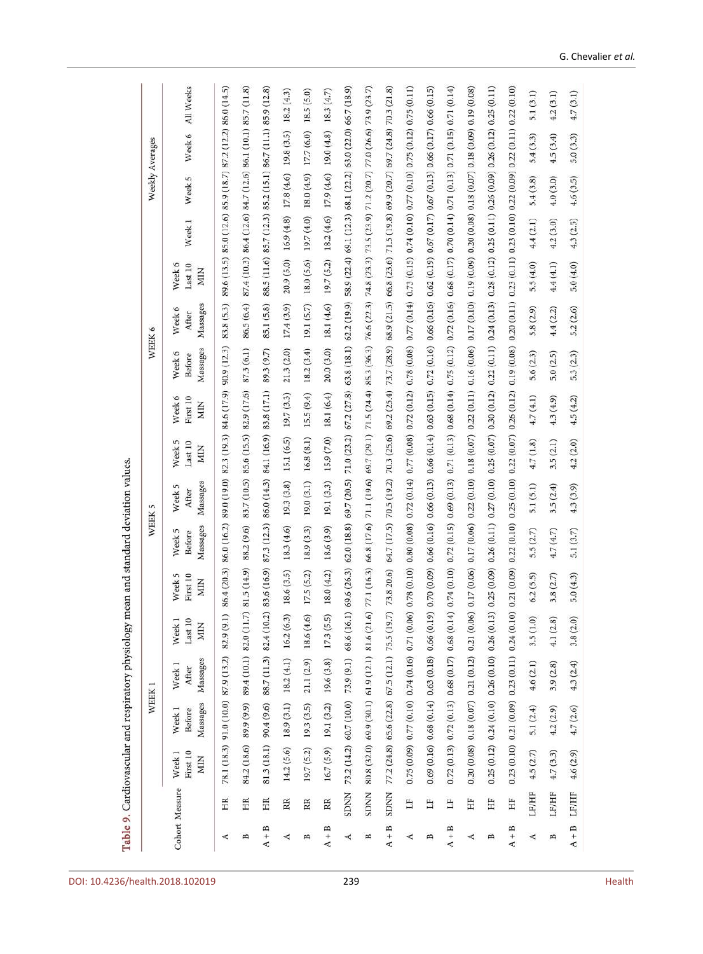<span id="page-11-0"></span>

|                |              |                                      | WEEK <sub>1</sub>                       |                                                                 |                                            |                                      | WEEK <sub>5</sub>            |                             |                                 |                                                 |                                         | WEEK 6                                                                                                                                                                                                                          |                                 |                                                             | Weekly Averages |             |             |
|----------------|--------------|--------------------------------------|-----------------------------------------|-----------------------------------------------------------------|--------------------------------------------|--------------------------------------|------------------------------|-----------------------------|---------------------------------|-------------------------------------------------|-----------------------------------------|---------------------------------------------------------------------------------------------------------------------------------------------------------------------------------------------------------------------------------|---------------------------------|-------------------------------------------------------------|-----------------|-------------|-------------|
| Cohort Measure |              | First 10<br>Week <sub>1</sub><br>MIN | Massages<br>Week <sub>1</sub><br>Before | Massages<br>Week <sub>1</sub><br>After                          | Week <sub>1</sub><br>Last 10<br><b>MIN</b> | Week <sub>5</sub><br>First 10<br>MIN | Massages<br>Week 5<br>Before | Massages<br>Week 5<br>After | Week 5<br>Last 10<br><b>MIN</b> | Week 6<br>First 10<br><b>MIN</b>                | Massages<br>Week <sub>6</sub><br>Before | Massages<br>Week 6<br>After                                                                                                                                                                                                     | Week 6<br>Last 10<br><b>MIN</b> | Week <sub>1</sub>                                           | 5<br>Week       | Week 6      | All Weeks   |
| ⋖              | HR           |                                      |                                         | 78.1 (18.3) 91.0 (10.0) 87.9 (13.2) 82.9 (9.1)                  |                                            | 86.4 (20.3)                          | 86.0 (16.2)                  |                             |                                 | 89.0 (19.0) 82.3 (19.3) 84.6 (17.9) 90.9 (12.3) |                                         | 83.8(5.3)                                                                                                                                                                                                                       |                                 | 89.6 (13.5) 85.0 (12.6) 85.9 (18.7) 87.2 (12.2) 86.0 (14.5) |                 |             |             |
| B              | HR           |                                      |                                         | 84.2 (18.6) 89.9 (9.9) 89.4 (10.1) 82.0 (11.7)                  |                                            | 81.5 (14.9)                          | 88.2 (9.6)                   |                             |                                 | 83.7 (10.5) 85.6 (15.5) 82.9 (17.6)             | 87.3 (6.1)                              | 86.5 (6.4)                                                                                                                                                                                                                      |                                 | 87.4 (10.3) 86.4 (12.6) 84.7 (12.6) 86.1 (10.1) 85.7 (11.8) |                 |             |             |
| $A + B$        | HR           |                                      |                                         | 81.3 (18.1) 90.4 (9.6) 88.7 (11.3) 82.4 (10.2)                  |                                            | 83.6 (16.9)                          |                              |                             |                                 | 87.3 (12.3) 86.0 (14.3) 84.1 (16.9) 83.8 (17.1) | 89.3 (9.7)                              | 85.1 (5.8)                                                                                                                                                                                                                      |                                 | 88.5 (11.6) 85.7 (12.3) 85.2 (15.1) 86.7 (11.1) 85.9 (12.8) |                 |             |             |
| ∢              | RR           | 14.2 (5.6)                           |                                         | $18.9(3.1)$ $18.2(4.1)$ $16.2(6.3)$                             |                                            | 18.6(3.5)                            | 18.3 (4.6)                   | 19.3(3.8)                   | 15.1 (6.5)                      | 19.7 (3.3)                                      | 21.3(2.0)                               | 17.4(3.9)                                                                                                                                                                                                                       | 20.9 (5.0)                      | 16.9(4.8)                                                   | 17.8 (4.6)      | 19.8 (3.5)  | 18.2(4.3)   |
| B              | RR           | 19.7 (5.2)                           |                                         | $19.3(3.5)$ 21.1 (2.9) 18.6 (4.6)                               |                                            | 17.5(5.2)                            | 18.9 (3.3)                   | 19.0(3.1)                   | 16.8(8.1)                       | 15.5(9.4)                                       | 18.2(3.4)                               | 19.1(5.7)                                                                                                                                                                                                                       | 18.0 (5.6)                      | 19.7 (4.0)                                                  | 18.0 (4.9)      | 17.7 (6.0)  | 18.5 (5.0)  |
| $A + B$        | RR.          |                                      |                                         | $16.7(5.9)$ 19.1 (3.2) 19.6 (3.8) 17.3 (5.5)                    |                                            | 18.0 (4.2)                           | 18.6 (3.9)                   | 19.1(3.3)                   | 15.9 (7.0)                      | 18.1 (6.4)                                      |                                         | 20.0 (3.0) 18.1 (4.6) 19.7 (5.2) 18.2 (4.6) 17.9 (4.6)                                                                                                                                                                          |                                 |                                                             |                 | 19.0 (4.8)  | 18.3 (4.7)  |
| ⋖              | <b>NNUS</b>  |                                      |                                         | 73.2 (14.2) 60.7 (10.0) 73.9 (9.1) 68.6 (16.1)                  |                                            | 69.6 (26.3)                          | 62.0 (18.8)                  | 69.7 (20.5)                 |                                 |                                                 |                                         | 71.0 (23.2) 67.2 (27.8) 63.8 (18.1) 62.2 (19.9) 58.9 (22.4) 69.1 (12.3) 68.1 (22.2) 63.0 (22.0) 66.7 (18.9)                                                                                                                     |                                 |                                                             |                 |             |             |
| B              | <b>SDNN</b>  |                                      |                                         | 80.8 (32.0) 69.9 (30.1) 61.9 (12.1) 81.6 (21.6)                 |                                            | 77.1 (16.3)                          | 66.8 (17.6)                  |                             |                                 |                                                 |                                         | 71.1 (19.6) 69.7 (29.1) 71.5 (24.4) 85.3 (36.3) 76.6 (22.3) 74.8 (23.3) 73.5 (23.9) 71.2 (20.7)                                                                                                                                 |                                 |                                                             |                 | 77.0 (26.6) | 73.9 (23.7) |
| $A + B$        | <b>SDNN</b>  |                                      |                                         | 77.2 (24.8) 65.6 (22.8) 67.5 (12.1) 75.5 (19.7)                 |                                            | 73.8 20.6)                           |                              |                             |                                 |                                                 |                                         | 64.7 (17.5) 70.5 (19.2) 70.3 (25.6) 69.2 (25.4) 73.7 (28.9) 68.9 (21.5) 66.8 (23.6) 71.5 (19.8) 69.9 (20.7) 69.7 (24.8) 70.3 (21.8)                                                                                             |                                 |                                                             |                 |             |             |
| ∢              | H            |                                      |                                         | $0.75(0.09) 0.77(0.10) 0.74(0.16) 0.71(0.06)$                   |                                            | 0.78(0.10)                           | 0.80(0.08)                   |                             |                                 |                                                 |                                         | $0.72$ (0.14) $0.77$ (0.08) $0.72$ (0.12) $0.78$ (0.08) $0.77$ (0.14) $0.73$ (0.15) $0.74$ (0.10) $0.77$ (0.10) $0.75$ (0.12) $0.75$ (0.11)                                                                                     |                                 |                                                             |                 |             |             |
| B              | Ë            |                                      |                                         | $0.69$ $(0.16)$ $0.68$ $(0.14)$ $0.63$ $(0.18)$ $0.66$ $(0.19)$ |                                            |                                      |                              |                             |                                 |                                                 |                                         | 0.70 (0.09) 0.66 (0.16) 0.66 (0.13) 0.66 (0.14) 0.63 (0.15) 0.72 (0.16) 0.66 (0.16) 0.62 (0.19) 0.67 (0.17) 0.66 (0.17) 0.66 (0.17) 0.66 (0.17) 0.66 (0.17)                                                                     |                                 |                                                             |                 |             |             |
| $A + B$        | EF           |                                      |                                         | $0.72(0.13) 0.72(0.13) 0.68(0.17) 0.68(0.14)$                   |                                            | 0.74(0.10)                           | 0.72(0.15)                   |                             |                                 |                                                 |                                         | $0.69$ (0.13) $0.71$ (0.13) $0.68$ (0.14) $0.75$ (0.12) $0.72$ (0.16) $0.68$ (0.17) $0.70$ (0.14) $0.71$ (0.13) $0.71$ (0.15) $0.71$ (0.14)                                                                                     |                                 |                                                             |                 |             |             |
| ∢              | Ë            |                                      |                                         | $0.20$ $(0.08)$ $0.18$ $(0.07)$ $0.21$ $(0.12)$ $0.21$ $(0.06)$ |                                            |                                      |                              |                             |                                 |                                                 |                                         | 0.17 (0.06) 0.17 (0.06) 0.12 (3.09) 0.18 (6.09) 0.18 (0.10) 0.16 (0.06) 0.19 (0.10) 0.19 (0.09) 0.18 (0.07) 0.19 (0.09) 0.19 (0.09) 0.19 (0.09) 0.19 (0.09) 0.19 (0.09) 0.19 (0.09) 0.19 (0.09) 0.19 (0.09) 0.19 (0.09) 0.19 (0 |                                 |                                                             |                 |             |             |
| B              | Ë            |                                      |                                         | $0.25(0.12) 0.24(0.10) 0.26(0.10) 0.26(0.13)$                   |                                            |                                      |                              |                             |                                 |                                                 |                                         | 0.25 (0.09) 0.26 (0.11) 0.27 (0.10) 0.25 (0.07) 0.30 (0.12) 0.22 (0.11) 0.24 (0.13) 0.28 (0.12) 0.25 (0.10) 0.26 (0.12) 0.25 (0.11) 0.25 (0.11)                                                                                 |                                 |                                                             |                 |             |             |
| $A + B$        | HF           |                                      |                                         | $0.23(0.10) 0.21(0.09) 0.23(0.11) 0.24(0.10)$                   |                                            | 0.21(0.09)                           | 0.22(0.10)                   |                             |                                 | 0.25(0.10) 0.22(0.07) 0.26(0.12)                |                                         | $0.19(0.08)$ $0.20(0.11)$ $0.23(0.11)$ $0.23(0.10)$ $0.22(0.09)$ $0.22(0.11)$ $0.22(0.10)$                                                                                                                                      |                                 |                                                             |                 |             |             |
| ∢              | LF/HF        | 4.5(2.7)                             | 5.1 (2.4)                               | 4.6(2.1)                                                        | 3.5(1.0)                                   | 6.2(5.5)                             | 5.5(2.7)                     | 5.1 (5.1)                   | 4.7(1.8)                        | 4.7(4.1)                                        | 5.6(2.3)                                | 5.8(2.9)                                                                                                                                                                                                                        | 5.5(4.0)                        | 4.4(2.1)                                                    | 5.4(3.8)        | 5.4(3.3)    | 5.1(3.1)    |
| B              | <b>LF/HF</b> | 4.7(3.3)                             | 4.2(2.9)                                | 3.9(2.8)                                                        | 4.1(2.8)                                   | 3.8(2.7)                             | 4.7(4.7)                     | 3.5(2.4)                    | 3.5(2.1)                        | 4.3(4.9)                                        | 5.0(2.5)                                | 4.4(2.2)                                                                                                                                                                                                                        | 4.4(4.1)                        | 4.2(3.0)                                                    | 4.0(3.0)        | 4.5(3.4)    | 4.2(3.1)    |
| $A + B$        | LF/HF        | 4.6(2.9)                             | 4.7(2.6)                                | 4.3(2.4)                                                        | 3.8(2.0)                                   | 5.0(4.3)                             | 5.1(3.7)                     | 4.3(3.9)                    | 4.2(2.0)                        | 4.5(4.2)                                        | 5.3(2.3)                                | 5.2(2.6)                                                                                                                                                                                                                        | 5.0(4.0)                        | 4.3(2.5)                                                    | 4.6(3.5)        | 5.0(3.3)    | 4.7(3.1)    |

Table 9. Cardiovascular and respiratory physiology mean and standard deviation values.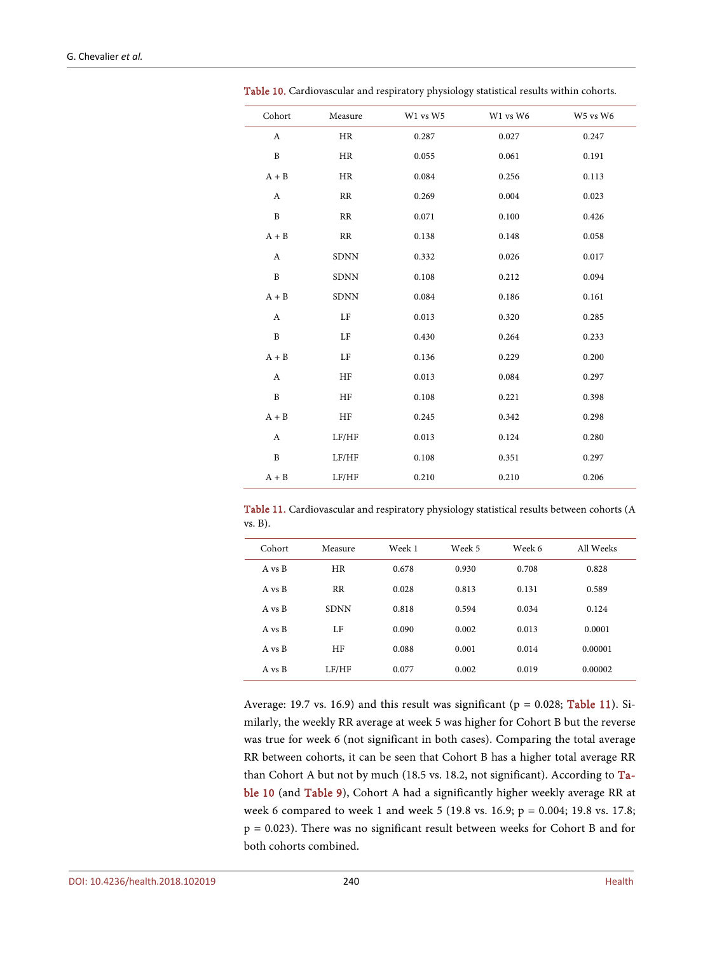| Cohort                    | Measure     | W1 vs W5 | W1 vs W6 | W5 vs W6 |
|---------------------------|-------------|----------|----------|----------|
| A                         | HR          | 0.287    | 0.027    | 0.247    |
| $\, {\bf B}$              | HR          | 0.055    | 0.061    | 0.191    |
| $A + B$                   | HR          | 0.084    | 0.256    | 0.113    |
| A                         | RR          | 0.269    | 0.004    | 0.023    |
| $\, {\bf B}$              | RR          | 0.071    | 0.100    | 0.426    |
| $A + B$                   | RR          | 0.138    | 0.148    | 0.058    |
| A                         | <b>SDNN</b> | 0.332    | 0.026    | 0.017    |
| $\, {\bf B}$              | <b>SDNN</b> | 0.108    | 0.212    | 0.094    |
| $A + B$                   | <b>SDNN</b> | 0.084    | 0.186    | 0.161    |
| A                         | LF          | 0.013    | 0.320    | 0.285    |
| B                         | LF          | 0.430    | 0.264    | 0.233    |
| $A + B$                   | LF          | 0.136    | 0.229    | 0.200    |
| A                         | HF          | 0.013    | 0.084    | 0.297    |
| $\, {\bf B}$              | HF          | 0.108    | 0.221    | 0.398    |
| $A + B$                   | HF          | 0.245    | 0.342    | 0.298    |
| $\boldsymbol{\mathrm{A}}$ | LF/HF       | 0.013    | 0.124    | 0.280    |
| $\, {\bf B}$              | LF/HF       | 0.108    | 0.351    | 0.297    |

Table 10. Cardiovascular and respiratory physiology statistical results within cohorts.

<span id="page-12-0"></span>G. Chevalier *et al.*

<span id="page-12-1"></span>Table 11. Cardiovascular and respiratory physiology statistical results between cohorts (A vs. B).

A + B LF/HF 0.210 0.210 0.210 0.206

| Cohort | Measure     | Week 1 | Week 5 | Week 6 | All Weeks |
|--------|-------------|--------|--------|--------|-----------|
| A vs B | <b>HR</b>   | 0.678  | 0.930  | 0.708  | 0.828     |
| A vs B | <b>RR</b>   | 0.028  | 0.813  | 0.131  | 0.589     |
| A vs B | <b>SDNN</b> | 0.818  | 0.594  | 0.034  | 0.124     |
| A vs B | LF          | 0.090  | 0.002  | 0.013  | 0.0001    |
| A vs B | HF          | 0.088  | 0.001  | 0.014  | 0.00001   |
| A vs B | LF/HF       | 0.077  | 0.002  | 0.019  | 0.00002   |

Average: 19.7 vs. 16.9) and this result was significant ( $p = 0.028$ ; [Table 11\)](#page-12-1). Similarly, the weekly RR average at week 5 was higher for Cohort B but the reverse was true for week 6 (not significant in both cases). Comparing the total average RR between cohorts, it can be seen that Cohort B has a higher total average RR than Cohort A but not by much (18.5 vs. 18.2, not significant). According to [Ta](#page-12-0)[ble 10](#page-12-0) (and [Table 9\)](#page-11-0), Cohort A had a significantly higher weekly average RR at week 6 compared to week 1 and week 5 (19.8 vs. 16.9; p = 0.004; 19.8 vs. 17.8; p = 0.023). There was no significant result between weeks for Cohort B and for both cohorts combined.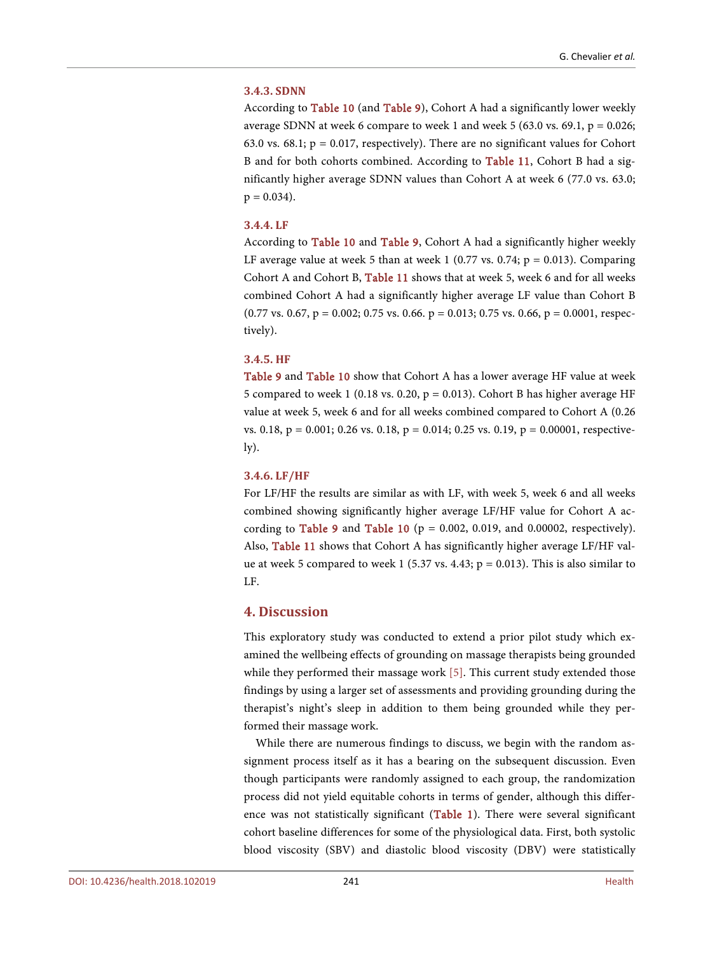#### **3.4.3. SDNN**

According to [Table 10](#page-12-0) (and [Table 9\)](#page-11-0), Cohort A had a significantly lower weekly average SDNN at week 6 compare to week 1 and week 5 (63.0 vs. 69.1,  $p = 0.026$ ; 63.0 vs. 68.1;  $p = 0.017$ , respectively). There are no significant values for Cohort B and for both cohorts combined. According to [Table 11,](#page-12-1) Cohort B had a significantly higher average SDNN values than Cohort A at week 6 (77.0 vs. 63.0;  $p = 0.034$ ).

#### **3.4.4. LF**

According to [Table 10](#page-12-0) and [Table 9,](#page-11-0) Cohort A had a significantly higher weekly LF average value at week 5 than at week 1 (0.77 vs. 0.74;  $p = 0.013$ ). Comparing Cohort A and Cohort B, [Table 11](#page-12-1) shows that at week 5, week 6 and for all weeks combined Cohort A had a significantly higher average LF value than Cohort B  $(0.77 \text{ vs. } 0.67, p = 0.002; 0.75 \text{ vs. } 0.66, p = 0.013; 0.75 \text{ vs. } 0.66, p = 0.0001, \text{ respec-}$ tively).

#### **3.4.5. HF**

[Table 9](#page-11-0) and [Table 10](#page-12-0) show that Cohort A has a lower average HF value at week 5 compared to week 1 (0.18 vs. 0.20,  $p = 0.013$ ). Cohort B has higher average HF value at week 5, week 6 and for all weeks combined compared to Cohort A (0.26 vs. 0.18,  $p = 0.001$ ; 0.26 vs. 0.18,  $p = 0.014$ ; 0.25 vs. 0.19,  $p = 0.00001$ , respective- $\mathbf{I}(\mathbf{y})$ .

#### **3.4.6. LF/HF**

For LF/HF the results are similar as with LF, with week 5, week 6 and all weeks combined showing significantly higher average LF/HF value for Cohort A ac-cording to [Table 9](#page-11-0) and [Table 10](#page-12-0) ( $p = 0.002$ , 0.019, and 0.00002, respectively). Also, [Table 11](#page-12-1) shows that Cohort A has significantly higher average LF/HF value at week 5 compared to week 1 (5.37 vs. 4.43;  $p = 0.013$ ). This is also similar to LF.

# **4. Discussion**

This exploratory study was conducted to extend a prior pilot study which examined the wellbeing effects of grounding on massage therapists being grounded while they performed their massage work [\[5\].](#page-20-4) This current study extended those findings by using a larger set of assessments and providing grounding during the therapist's night's sleep in addition to them being grounded while they performed their massage work.

While there are numerous findings to discuss, we begin with the random assignment process itself as it has a bearing on the subsequent discussion. Even though participants were randomly assigned to each group, the randomization process did not yield equitable cohorts in terms of gender, although this difference was not statistically significant [\(Table 1\)](#page-6-0). There were several significant cohort baseline differences for some of the physiological data. First, both systolic blood viscosity (SBV) and diastolic blood viscosity (DBV) were statistically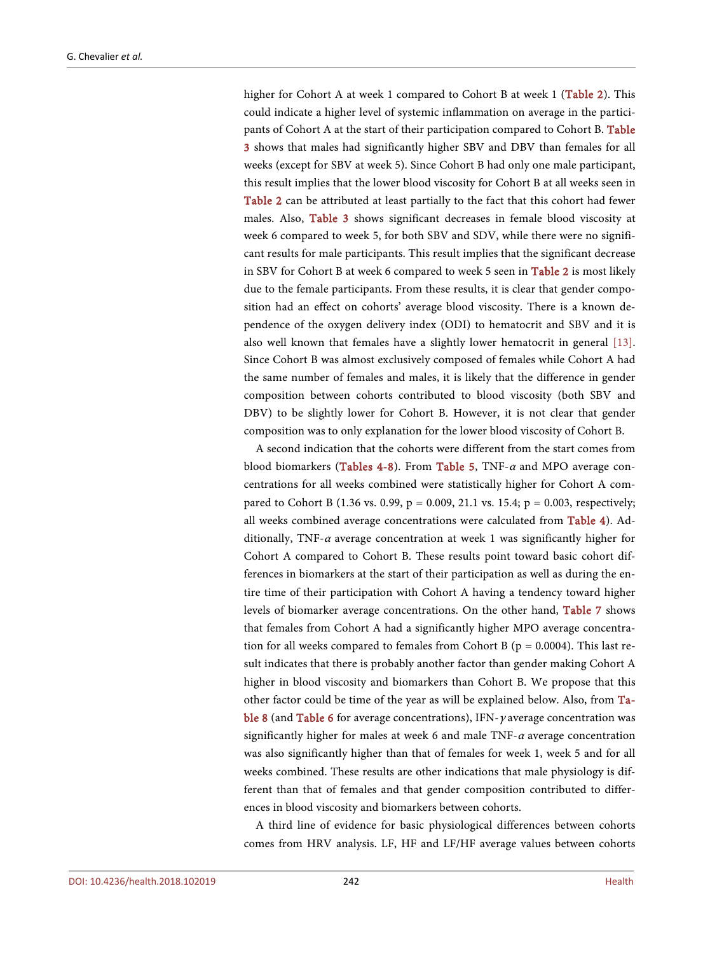higher for Cohort A at week 1 compared to Cohort B at week 1 [\(Table 2\)](#page-6-1). This could indicate a higher level of systemic inflammation on average in the participants of Cohort A at the start of their participation compared to Cohort B. [Table](#page-7-0)  [3](#page-7-0) shows that males had significantly higher SBV and DBV than females for all weeks (except for SBV at week 5). Since Cohort B had only one male participant, this result implies that the lower blood viscosity for Cohort B at all weeks seen in [Table 2](#page-6-1) can be attributed at least partially to the fact that this cohort had fewer males. Also, [Table 3](#page-7-0) shows significant decreases in female blood viscosity at week 6 compared to week 5, for both SBV and SDV, while there were no significant results for male participants. This result implies that the significant decrease in SBV for Cohort B at week 6 compared to week 5 seen in [Table 2](#page-6-1) is most likely due to the female participants. From these results, it is clear that gender composition had an effect on cohorts' average blood viscosity. There is a known dependence of the oxygen delivery index (ODI) to hematocrit and SBV and it is also well known that females have a slightly lower hematocrit in general [\[13\].](#page-21-6)  Since Cohort B was almost exclusively composed of females while Cohort A had the same number of females and males, it is likely that the difference in gender composition between cohorts contributed to blood viscosity (both SBV and DBV) to be slightly lower for Cohort B. However, it is not clear that gender composition was to only explanation for the lower blood viscosity of Cohort B.

A second indication that the cohorts were different from the start comes from blood biomarkers [\(Tables 4-8\)](#page-8-0). From [Table 5,](#page-8-1) TNF- $\alpha$  and MPO average concentrations for all weeks combined were statistically higher for Cohort A compared to Cohort B (1.36 vs. 0.99,  $p = 0.009$ , 21.1 vs. 15.4;  $p = 0.003$ , respectively; all weeks combined average concentrations were calculated from [Table 4\)](#page-8-0). Additionally, TNF- $\alpha$  average concentration at week 1 was significantly higher for Cohort A compared to Cohort B. These results point toward basic cohort differences in biomarkers at the start of their participation as well as during the entire time of their participation with Cohort A having a tendency toward higher levels of biomarker average concentrations. On the other hand, [Table 7](#page-9-1) shows that females from Cohort A had a significantly higher MPO average concentration for all weeks compared to females from Cohort B ( $p = 0.0004$ ). This last result indicates that there is probably another factor than gender making Cohort A higher in blood viscosity and biomarkers than Cohort B. We propose that this other factor could be time of the year as will be explained below. Also, from [Ta](#page-10-0)[ble 8](#page-10-0) (and [Table 6](#page-9-0) for average concentrations), IFN- $\gamma$  average concentration was significantly higher for males at week 6 and male TNF- $\alpha$  average concentration was also significantly higher than that of females for week 1, week 5 and for all weeks combined. These results are other indications that male physiology is different than that of females and that gender composition contributed to differences in blood viscosity and biomarkers between cohorts.

A third line of evidence for basic physiological differences between cohorts comes from HRV analysis. LF, HF and LF/HF average values between cohorts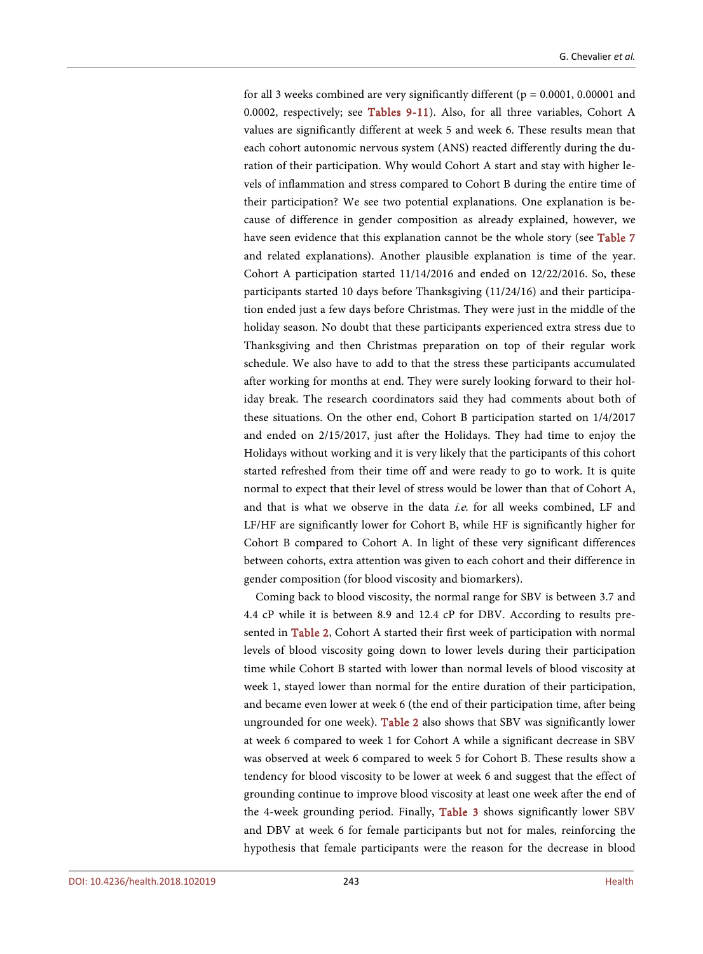for all 3 weeks combined are very significantly different ( $p = 0.0001$ , 0.00001 and 0.0002, respectively; see [Tables 9-11\)](#page-11-0). Also, for all three variables, Cohort A values are significantly different at week 5 and week 6. These results mean that each cohort autonomic nervous system (ANS) reacted differently during the duration of their participation. Why would Cohort A start and stay with higher levels of inflammation and stress compared to Cohort B during the entire time of their participation? We see two potential explanations. One explanation is because of difference in gender composition as already explained, however, we have seen evidence that this explanation cannot be the whole story (see [Table 7](#page-9-1) and related explanations). Another plausible explanation is time of the year. Cohort A participation started 11/14/2016 and ended on 12/22/2016. So, these participants started 10 days before Thanksgiving (11/24/16) and their participation ended just a few days before Christmas. They were just in the middle of the holiday season. No doubt that these participants experienced extra stress due to Thanksgiving and then Christmas preparation on top of their regular work schedule. We also have to add to that the stress these participants accumulated after working for months at end. They were surely looking forward to their holiday break. The research coordinators said they had comments about both of these situations. On the other end, Cohort B participation started on 1/4/2017 and ended on 2/15/2017, just after the Holidays. They had time to enjoy the Holidays without working and it is very likely that the participants of this cohort started refreshed from their time off and were ready to go to work. It is quite normal to expect that their level of stress would be lower than that of Cohort A, and that is what we observe in the data i.e. for all weeks combined, LF and LF/HF are significantly lower for Cohort B, while HF is significantly higher for Cohort B compared to Cohort A. In light of these very significant differences between cohorts, extra attention was given to each cohort and their difference in gender composition (for blood viscosity and biomarkers).

Coming back to blood viscosity, the normal range for SBV is between 3.7 and 4.4 cP while it is between 8.9 and 12.4 cP for DBV. According to results presented in [Table 2,](#page-6-1) Cohort A started their first week of participation with normal levels of blood viscosity going down to lower levels during their participation time while Cohort B started with lower than normal levels of blood viscosity at week 1, stayed lower than normal for the entire duration of their participation, and became even lower at week 6 (the end of their participation time, after being ungrounded for one week). [Table 2](#page-6-1) also shows that SBV was significantly lower at week 6 compared to week 1 for Cohort A while a significant decrease in SBV was observed at week 6 compared to week 5 for Cohort B. These results show a tendency for blood viscosity to be lower at week 6 and suggest that the effect of grounding continue to improve blood viscosity at least one week after the end of the 4-week grounding period. Finally, [Table 3](#page-7-0) shows significantly lower SBV and DBV at week 6 for female participants but not for males, reinforcing the hypothesis that female participants were the reason for the decrease in blood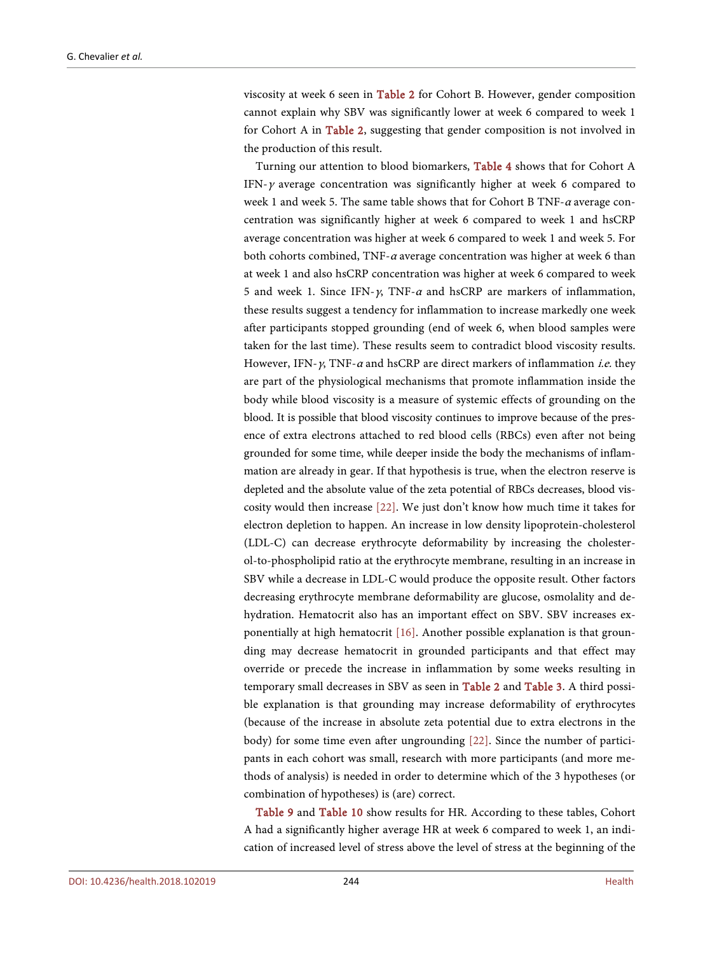viscosity at week 6 seen in [Table 2](#page-6-1) for Cohort B. However, gender composition cannot explain why SBV was significantly lower at week 6 compared to week 1 for Cohort A in [Table 2,](#page-6-1) suggesting that gender composition is not involved in the production of this result.

Turning our attention to blood biomarkers, [Table 4](#page-8-0) shows that for Cohort A IFN- $\gamma$  average concentration was significantly higher at week 6 compared to week 1 and week 5. The same table shows that for Cohort B TNF- $\alpha$  average concentration was significantly higher at week 6 compared to week 1 and hsCRP average concentration was higher at week 6 compared to week 1 and week 5. For both cohorts combined, TNF- $\alpha$  average concentration was higher at week 6 than at week 1 and also hsCRP concentration was higher at week 6 compared to week 5 and week 1. Since IFN- $\gamma$ , TNF- $\alpha$  and hsCRP are markers of inflammation, these results suggest a tendency for inflammation to increase markedly one week after participants stopped grounding (end of week 6, when blood samples were taken for the last time). These results seem to contradict blood viscosity results. However, IFN- $\gamma$ , TNF- $\alpha$  and hsCRP are direct markers of inflammation *i.e.* they are part of the physiological mechanisms that promote inflammation inside the body while blood viscosity is a measure of systemic effects of grounding on the blood. It is possible that blood viscosity continues to improve because of the presence of extra electrons attached to red blood cells (RBCs) even after not being grounded for some time, while deeper inside the body the mechanisms of inflammation are already in gear. If that hypothesis is true, when the electron reserve is depleted and the absolute value of the zeta potential of RBCs decreases, blood viscosity would then increase [\[22\].](#page-22-0) We just don't know how much time it takes for electron depletion to happen. An increase in low density lipoprotein-cholesterol (LDL-C) can decrease erythrocyte deformability by increasing the cholesterol-to-phospholipid ratio at the erythrocyte membrane, resulting in an increase in SBV while a decrease in LDL-C would produce the opposite result. Other factors decreasing erythrocyte membrane deformability are glucose, osmolality and dehydration. Hematocrit also has an important effect on SBV. SBV increases exponentially at high hematocrit [\[16\].](#page-21-9) Another possible explanation is that grounding may decrease hematocrit in grounded participants and that effect may override or precede the increase in inflammation by some weeks resulting in temporary small decreases in SBV as seen in [Table 2](#page-6-1) and [Table 3.](#page-7-0) A third possible explanation is that grounding may increase deformability of erythrocytes (because of the increase in absolute zeta potential due to extra electrons in the body) for some time even after ungrounding [\[22\].](#page-22-0) Since the number of participants in each cohort was small, research with more participants (and more methods of analysis) is needed in order to determine which of the 3 hypotheses (or combination of hypotheses) is (are) correct.

[Table 9](#page-11-0) and [Table 10](#page-12-0) show results for HR. According to these tables, Cohort A had a significantly higher average HR at week 6 compared to week 1, an indication of increased level of stress above the level of stress at the beginning of the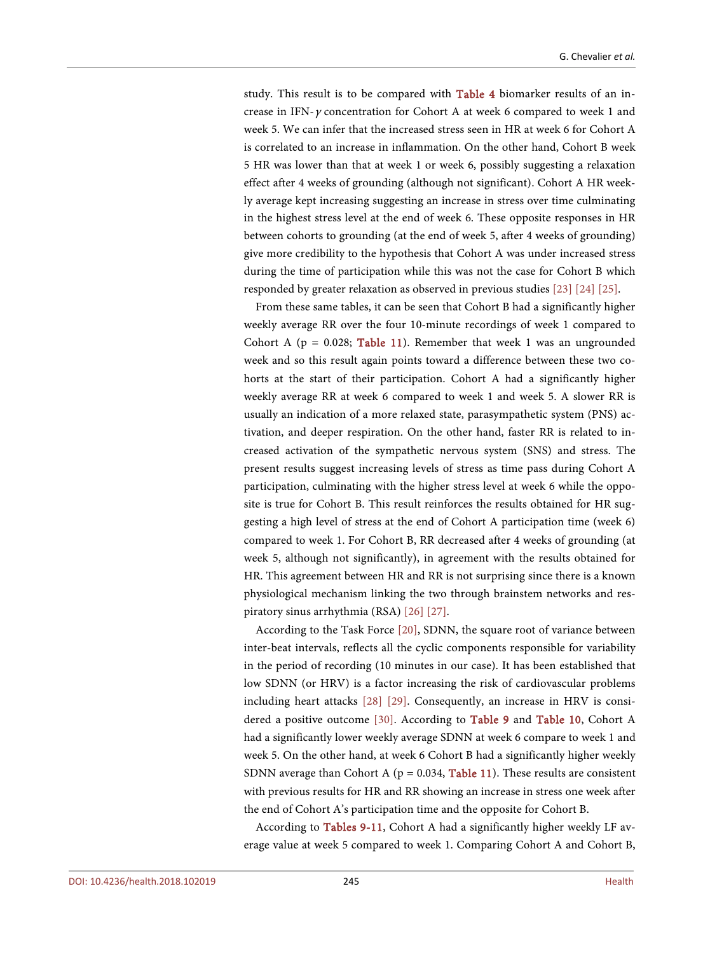study. This result is to be compared with [Table 4](#page-8-0) biomarker results of an increase in IFN- $\gamma$  concentration for Cohort A at week 6 compared to week 1 and week 5. We can infer that the increased stress seen in HR at week 6 for Cohort A is correlated to an increase in inflammation. On the other hand, Cohort B week 5 HR was lower than that at week 1 or week 6, possibly suggesting a relaxation effect after 4 weeks of grounding (although not significant). Cohort A HR weekly average kept increasing suggesting an increase in stress over time culminating in the highest stress level at the end of week 6. These opposite responses in HR between cohorts to grounding (at the end of week 5, after 4 weeks of grounding) give more credibility to the hypothesis that Cohort A was under increased stress during the time of participation while this was not the case for Cohort B which responded by greater relaxation as observed in previous studies [\[23\]](#page-22-1) [\[24\]](#page-22-2) [\[25\].](#page-22-3)

From these same tables, it can be seen that Cohort B had a significantly higher weekly average RR over the four 10-minute recordings of week 1 compared to Cohort A ( $p = 0.028$ ; [Table 11\)](#page-12-1). Remember that week 1 was an ungrounded week and so this result again points toward a difference between these two cohorts at the start of their participation. Cohort A had a significantly higher weekly average RR at week 6 compared to week 1 and week 5. A slower RR is usually an indication of a more relaxed state, parasympathetic system (PNS) activation, and deeper respiration. On the other hand, faster RR is related to increased activation of the sympathetic nervous system (SNS) and stress. The present results suggest increasing levels of stress as time pass during Cohort A participation, culminating with the higher stress level at week 6 while the opposite is true for Cohort B. This result reinforces the results obtained for HR suggesting a high level of stress at the end of Cohort A participation time (week 6) compared to week 1. For Cohort B, RR decreased after 4 weeks of grounding (at week 5, although not significantly), in agreement with the results obtained for HR. This agreement between HR and RR is not surprising since there is a known physiological mechanism linking the two through brainstem networks and respiratory sinus arrhythmia (RSA) [\[26\]](#page-22-4) [\[27\].](#page-22-5) 

According to the Task Force [\[20\],](#page-21-13) SDNN, the square root of variance between inter-beat intervals, reflects all the cyclic components responsible for variability in the period of recording (10 minutes in our case). It has been established that low SDNN (or HRV) is a factor increasing the risk of cardiovascular problems including heart attacks [\[28\]](#page-22-6) [\[29\].](#page-22-7) Consequently, an increase in HRV is consi-dered a positive outcome [\[30\].](#page-22-8) According to [Table 9](#page-11-0) and [Table 10,](#page-12-0) Cohort A had a significantly lower weekly average SDNN at week 6 compare to week 1 and week 5. On the other hand, at week 6 Cohort B had a significantly higher weekly SDNN average than Cohort A ( $p = 0.034$ , [Table 11\)](#page-12-1). These results are consistent with previous results for HR and RR showing an increase in stress one week after the end of Cohort A's participation time and the opposite for Cohort B.

According to [Tables 9-11,](#page-11-0) Cohort A had a significantly higher weekly LF average value at week 5 compared to week 1. Comparing Cohort A and Cohort B,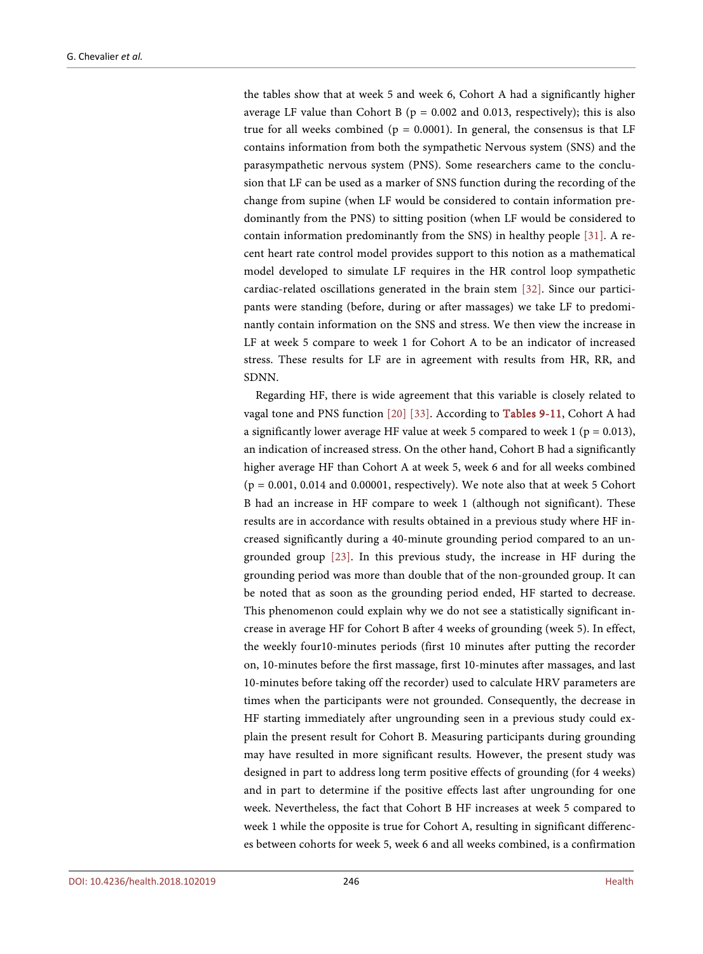the tables show that at week 5 and week 6, Cohort A had a significantly higher average LF value than Cohort B ( $p = 0.002$  and 0.013, respectively); this is also true for all weeks combined ( $p = 0.0001$ ). In general, the consensus is that LF contains information from both the sympathetic Nervous system (SNS) and the parasympathetic nervous system (PNS). Some researchers came to the conclusion that LF can be used as a marker of SNS function during the recording of the change from supine (when LF would be considered to contain information predominantly from the PNS) to sitting position (when LF would be considered to contain information predominantly from the SNS) in healthy people [\[31\].](#page-22-9) A recent heart rate control model provides support to this notion as a mathematical model developed to simulate LF requires in the HR control loop sympathetic cardiac-related oscillations generated in the brain stem [\[32\].](#page-22-10) Since our participants were standing (before, during or after massages) we take LF to predominantly contain information on the SNS and stress. We then view the increase in LF at week 5 compare to week 1 for Cohort A to be an indicator of increased stress. These results for LF are in agreement with results from HR, RR, and SDNN.

Regarding HF, there is wide agreement that this variable is closely related to vagal tone and PNS function [\[20\]](#page-21-13) [\[33\].](#page-22-11) According to [Tables 9-11,](#page-11-0) Cohort A had a significantly lower average HF value at week 5 compared to week 1 ( $p = 0.013$ ), an indication of increased stress. On the other hand, Cohort B had a significantly higher average HF than Cohort A at week 5, week 6 and for all weeks combined  $(p = 0.001, 0.014$  and 0.00001, respectively). We note also that at week 5 Cohort B had an increase in HF compare to week 1 (although not significant). These results are in accordance with results obtained in a previous study where HF increased significantly during a 40-minute grounding period compared to an ungrounded group [\[23\].](#page-22-1) In this previous study, the increase in HF during the grounding period was more than double that of the non-grounded group. It can be noted that as soon as the grounding period ended, HF started to decrease. This phenomenon could explain why we do not see a statistically significant increase in average HF for Cohort B after 4 weeks of grounding (week 5). In effect, the weekly four10-minutes periods (first 10 minutes after putting the recorder on, 10-minutes before the first massage, first 10-minutes after massages, and last 10-minutes before taking off the recorder) used to calculate HRV parameters are times when the participants were not grounded. Consequently, the decrease in HF starting immediately after ungrounding seen in a previous study could explain the present result for Cohort B. Measuring participants during grounding may have resulted in more significant results. However, the present study was designed in part to address long term positive effects of grounding (for 4 weeks) and in part to determine if the positive effects last after ungrounding for one week. Nevertheless, the fact that Cohort B HF increases at week 5 compared to week 1 while the opposite is true for Cohort A, resulting in significant differences between cohorts for week 5, week 6 and all weeks combined, is a confirmation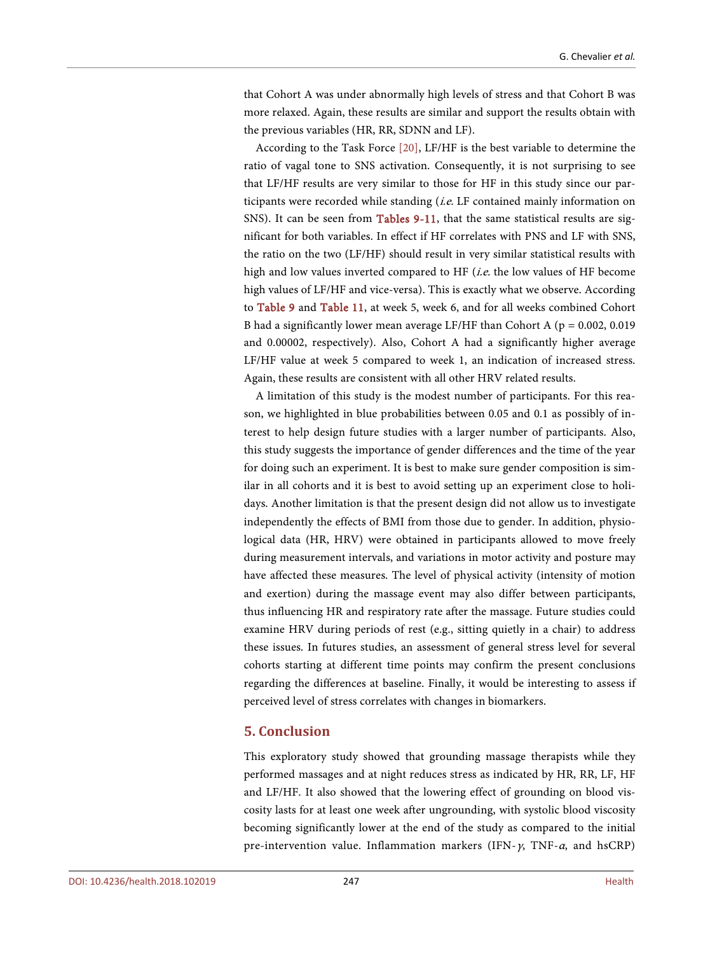that Cohort A was under abnormally high levels of stress and that Cohort B was more relaxed. Again, these results are similar and support the results obtain with the previous variables (HR, RR, SDNN and LF).

According to the Task Force [\[20\],](#page-21-13) LF/HF is the best variable to determine the ratio of vagal tone to SNS activation. Consequently, it is not surprising to see that LF/HF results are very similar to those for HF in this study since our participants were recorded while standing (i.e. LF contained mainly information on SNS). It can be seen from [Tables 9-11,](#page-11-0) that the same statistical results are significant for both variables. In effect if HF correlates with PNS and LF with SNS, the ratio on the two (LF/HF) should result in very similar statistical results with high and low values inverted compared to HF  $(i.e.$  the low values of HF become high values of LF/HF and vice-versa). This is exactly what we observe. According to [Table 9](#page-11-0) and [Table 11,](#page-12-1) at week 5, week 6, and for all weeks combined Cohort B had a significantly lower mean average LF/HF than Cohort A ( $p = 0.002, 0.019$ ) and 0.00002, respectively). Also, Cohort A had a significantly higher average LF/HF value at week 5 compared to week 1, an indication of increased stress. Again, these results are consistent with all other HRV related results.

A limitation of this study is the modest number of participants. For this reason, we highlighted in blue probabilities between 0.05 and 0.1 as possibly of interest to help design future studies with a larger number of participants. Also, this study suggests the importance of gender differences and the time of the year for doing such an experiment. It is best to make sure gender composition is similar in all cohorts and it is best to avoid setting up an experiment close to holidays. Another limitation is that the present design did not allow us to investigate independently the effects of BMI from those due to gender. In addition, physiological data (HR, HRV) were obtained in participants allowed to move freely during measurement intervals, and variations in motor activity and posture may have affected these measures. The level of physical activity (intensity of motion and exertion) during the massage event may also differ between participants, thus influencing HR and respiratory rate after the massage. Future studies could examine HRV during periods of rest (e.g., sitting quietly in a chair) to address these issues. In futures studies, an assessment of general stress level for several cohorts starting at different time points may confirm the present conclusions regarding the differences at baseline. Finally, it would be interesting to assess if perceived level of stress correlates with changes in biomarkers.

#### **5. Conclusion**

This exploratory study showed that grounding massage therapists while they performed massages and at night reduces stress as indicated by HR, RR, LF, HF and LF/HF. It also showed that the lowering effect of grounding on blood viscosity lasts for at least one week after ungrounding, with systolic blood viscosity becoming significantly lower at the end of the study as compared to the initial pre-intervention value. Inflammation markers (IFN- $\gamma$ , TNF- $\alpha$ , and hsCRP)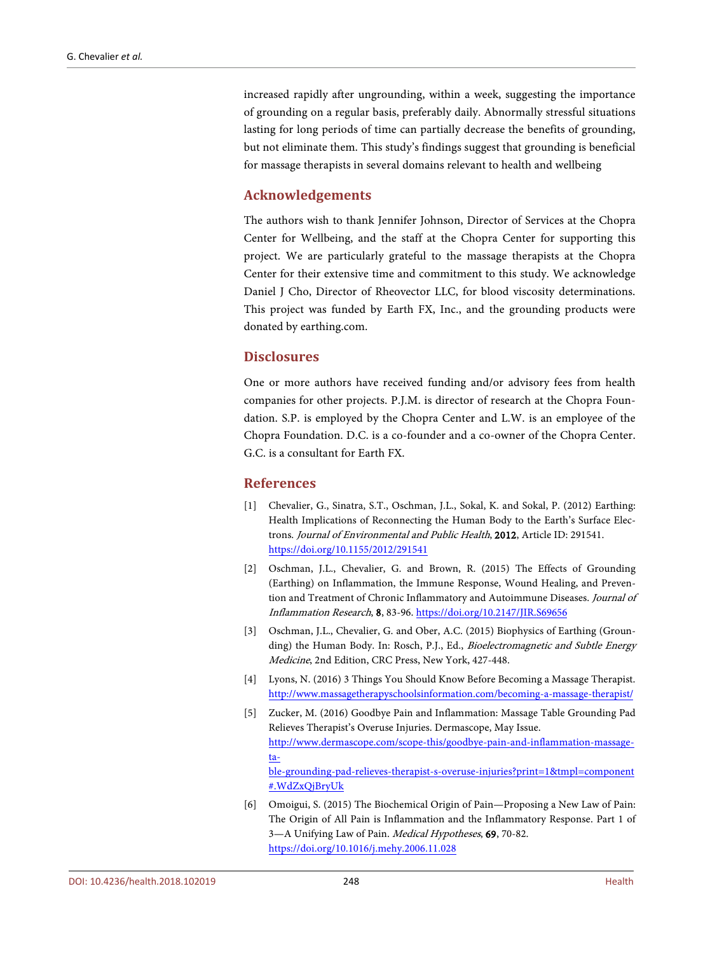increased rapidly after ungrounding, within a week, suggesting the importance of grounding on a regular basis, preferably daily. Abnormally stressful situations lasting for long periods of time can partially decrease the benefits of grounding, but not eliminate them. This study's findings suggest that grounding is beneficial for massage therapists in several domains relevant to health and wellbeing

# **Acknowledgements**

The authors wish to thank Jennifer Johnson, Director of Services at the Chopra Center for Wellbeing, and the staff at the Chopra Center for supporting this project. We are particularly grateful to the massage therapists at the Chopra Center for their extensive time and commitment to this study. We acknowledge Daniel J Cho, Director of Rheovector LLC, for blood viscosity determinations. This project was funded by Earth FX, Inc., and the grounding products were donated by earthing.com.

# **Disclosures**

One or more authors have received funding and/or advisory fees from health companies for other projects. P.J.M. is director of research at the Chopra Foundation. S.P. is employed by the Chopra Center and L.W. is an employee of the Chopra Foundation. D.C. is a co-founder and a co-owner of the Chopra Center. G.C. is a consultant for Earth FX.

## **References**

- <span id="page-20-0"></span>[1] Chevalier, G., Sinatra, S.T., Oschman, J.L., Sokal, K. and Sokal, P. (2012) Earthing: Health Implications of Reconnecting the Human Body to the Earth's Surface Electrons. Journal of Environmental and Public Health, 2012, Article ID: 291541. <https://doi.org/10.1155/2012/291541>
- <span id="page-20-1"></span>[2] Oschman, J.L., Chevalier, G. and Brown, R. (2015) The Effects of Grounding (Earthing) on Inflammation, the Immune Response, Wound Healing, and Prevention and Treatment of Chronic Inflammatory and Autoimmune Diseases. Journal of Inflammation Research, 8, 83-96[. https://doi.org/10.2147/JIR.S69656](https://doi.org/10.2147/JIR.S69656)
- <span id="page-20-2"></span>[3] Oschman, J.L., Chevalier, G. and Ober, A.C. (2015) Biophysics of Earthing (Grounding) the Human Body. In: Rosch, P.J., Ed., Bioelectromagnetic and Subtle Energy Medicine, 2nd Edition, CRC Press, New York, 427-448.
- <span id="page-20-3"></span>[4] Lyons, N. (2016) 3 Things You Should Know Before Becoming a Massage Therapist. <http://www.massagetherapyschoolsinformation.com/becoming-a-massage-therapist/>
- <span id="page-20-4"></span>[5] Zucker, M. (2016) Goodbye Pain and Inflammation: Massage Table Grounding Pad Relieves Therapist's Overuse Injuries. Dermascope, May Issue. [http://www.dermascope.com/scope-this/goodbye-pain-and-inflammation-massage](http://www.dermascope.com/scope-this/goodbye-pain-and-inflammation-massage-table-grounding-pad-relieves-therapist-s-overuse-injuries?print=1&tmpl=component%23.WdZxQjBryUk)[ta](http://www.dermascope.com/scope-this/goodbye-pain-and-inflammation-massage-table-grounding-pad-relieves-therapist-s-overuse-injuries?print=1&tmpl=component%23.WdZxQjBryUk)[ble-grounding-pad-relieves-therapist-s-overuse-injuries?print=1&tmpl=component](http://www.dermascope.com/scope-this/goodbye-pain-and-inflammation-massage-table-grounding-pad-relieves-therapist-s-overuse-injuries?print=1&tmpl=component%23.WdZxQjBryUk) [#.WdZxQjBryUk](http://www.dermascope.com/scope-this/goodbye-pain-and-inflammation-massage-table-grounding-pad-relieves-therapist-s-overuse-injuries?print=1&tmpl=component%23.WdZxQjBryUk)
- <span id="page-20-5"></span>[6] Omoigui, S. (2015) The Biochemical Origin of Pain—Proposing a New Law of Pain: The Origin of All Pain is Inflammation and the Inflammatory Response. Part 1 of 3-A Unifying Law of Pain. Medical Hypotheses, 69, 70-82. <https://doi.org/10.1016/j.mehy.2006.11.028>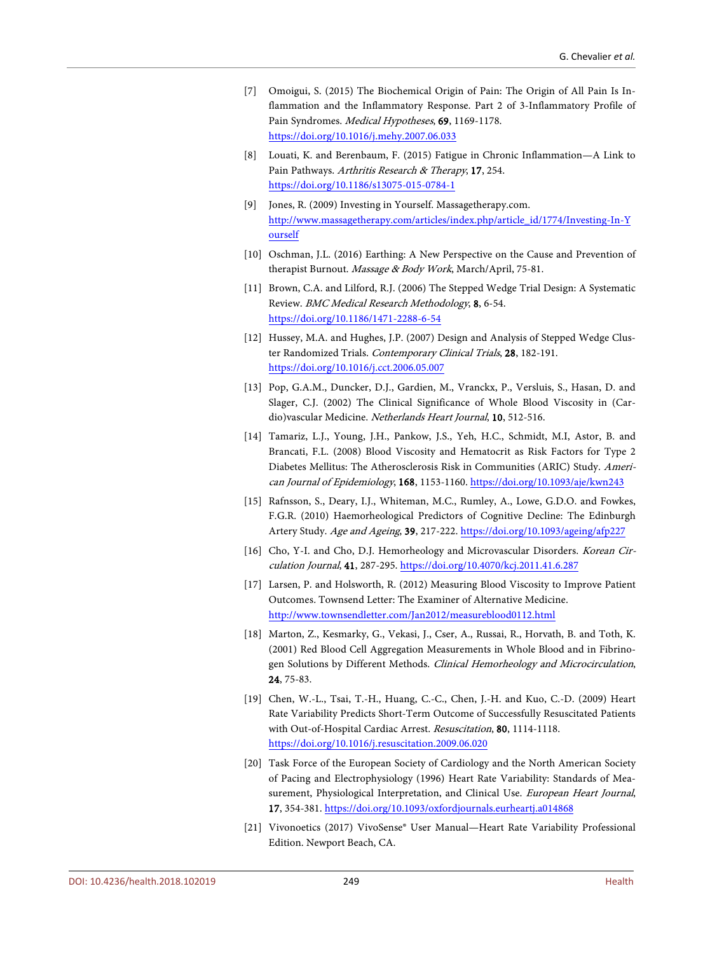- <span id="page-21-0"></span>[7] Omoigui, S. (2015) The Biochemical Origin of Pain: The Origin of All Pain Is Inflammation and the Inflammatory Response. Part 2 of 3-Inflammatory Profile of Pain Syndromes. Medical Hypotheses, 69, 1169-1178. <https://doi.org/10.1016/j.mehy.2007.06.033>
- <span id="page-21-1"></span>[8] Louati, K. and Berenbaum, F. (2015) Fatigue in Chronic Inflammation—A Link to Pain Pathways. Arthritis Research & Therapy, 17, 254. <https://doi.org/10.1186/s13075-015-0784-1>
- <span id="page-21-2"></span>[9] Jones, R. (2009) Investing in Yourself. Massagetherapy.com. [http://www.massagetherapy.com/articles/index.php/article\\_id/1774/Investing-In-Y](http://www.massagetherapy.com/articles/index.php/article_id/1774/Investing-In-Yourself) [ourself](http://www.massagetherapy.com/articles/index.php/article_id/1774/Investing-In-Yourself)
- <span id="page-21-3"></span>[10] Oschman, J.L. (2016) Earthing: A New Perspective on the Cause and Prevention of therapist Burnout. Massage & Body Work, March/April, 75-81.
- <span id="page-21-4"></span>[11] Brown, C.A. and Lilford, R.J. (2006) The Stepped Wedge Trial Design: A Systematic Review. BMC Medical Research Methodology, 8, 6-54. <https://doi.org/10.1186/1471-2288-6-54>
- <span id="page-21-5"></span>[12] Hussey, M.A. and Hughes, J.P. (2007) Design and Analysis of Stepped Wedge Cluster Randomized Trials. Contemporary Clinical Trials, 28, 182-191. <https://doi.org/10.1016/j.cct.2006.05.007>
- <span id="page-21-6"></span>[13] Pop, G.A.M., Duncker, D.J., Gardien, M., Vranckx, P., Versluis, S., Hasan, D. and Slager, C.J. (2002) The Clinical Significance of Whole Blood Viscosity in (Cardio)vascular Medicine. Netherlands Heart Journal, 10, 512-516.
- <span id="page-21-7"></span>[14] Tamariz, L.J., Young, J.H., Pankow, J.S., Yeh, H.C., Schmidt, M.I, Astor, B. and Brancati, F.L. (2008) Blood Viscosity and Hematocrit as Risk Factors for Type 2 Diabetes Mellitus: The Atherosclerosis Risk in Communities (ARIC) Study. American Journal of Epidemiology, 168, 1153-1160. <https://doi.org/10.1093/aje/kwn243>
- <span id="page-21-8"></span>[15] Rafnsson, S., Deary, I.J., Whiteman, M.C., Rumley, A., Lowe, G.D.O. and Fowkes, F.G.R. (2010) Haemorheological Predictors of Cognitive Decline: The Edinburgh Artery Study. Age and Ageing, 39, 217-222. <https://doi.org/10.1093/ageing/afp227>
- <span id="page-21-9"></span>[16] Cho, Y-I. and Cho, D.J. Hemorheology and Microvascular Disorders. Korean Circulation Journal, 41, 287-295. <https://doi.org/10.4070/kcj.2011.41.6.287>
- <span id="page-21-10"></span>[17] Larsen, P. and Holsworth, R. (2012) Measuring Blood Viscosity to Improve Patient Outcomes. Townsend Letter: The Examiner of Alternative Medicine. <http://www.townsendletter.com/Jan2012/measureblood0112.html>
- <span id="page-21-11"></span>[18] Marton, Z., Kesmarky, G., Vekasi, J., Cser, A., Russai, R., Horvath, B. and Toth, K. (2001) Red Blood Cell Aggregation Measurements in Whole Blood and in Fibrinogen Solutions by Different Methods. Clinical Hemorheology and Microcirculation, 24, 75-83.
- <span id="page-21-12"></span>[19] Chen, W.-L., Tsai, T.-H., Huang, C.-C., Chen, J.-H. and Kuo, C.-D. (2009) Heart Rate Variability Predicts Short-Term Outcome of Successfully Resuscitated Patients with Out-of-Hospital Cardiac Arrest. Resuscitation, 80, 1114-1118. <https://doi.org/10.1016/j.resuscitation.2009.06.020>
- <span id="page-21-13"></span>[20] Task Force of the European Society of Cardiology and the North American Society of Pacing and Electrophysiology (1996) Heart Rate Variability: Standards of Measurement, Physiological Interpretation, and Clinical Use. European Heart Journal, 17, 354-381. <https://doi.org/10.1093/oxfordjournals.eurheartj.a014868>
- <span id="page-21-14"></span>[21] Vivonoetics (2017) VivoSense® User Manual—Heart Rate Variability Professional Edition. Newport Beach, CA.